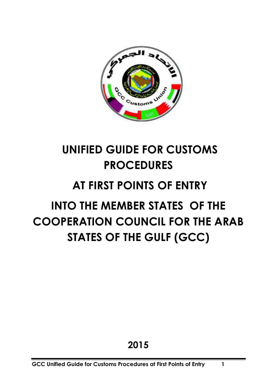

## **UNIFIED GUIDE FOR CUSTOMS PROCEDURES**

## **AT FIRST POINTS OF ENTRY**

# **INTO THE MEMBER STATES OF THE COOPERATION COUNCIL FOR THE ARAB STATES OF THE GULF (GCC)**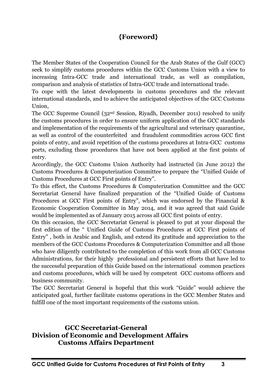### **{Foreword}**

The Member States of the Cooperation Council for the Arab States of the Gulf (GCC) seek to simplify customs procedures within the GCC Customs Union with a view to increasing Intra-GCC trade and international trade, as well as compilation, comparison and analysis of statistics of Intra-GCC trade and international trade.

To cope with the latest developments in customs procedures and the relevant international standards, and to achieve the anticipated objectives of the GCC Customs Union,

The GCC Supreme Council  $(32<sup>nd</sup>$  Session, Riyadh, December 2011) resolved to unify the customs procedures in order to ensure uniform application of the GCC standards and implementation of the requirements of the agricultural and veterinary quarantine, as well as control of the counterfeited and fraudulent commodities across GCC first points of entry, and avoid repetition of the customs procedures at Intra-GCC customs ports, excluding those procedures that have not been applied at the first points of entry.

Accordingly, the GCC Customs Union Authority had instructed (in June 2012) the Customs Procedures & Computerization Committee to prepare the "Unified Guide of Customs Procedures at GCC First points of Entry".

To this effect, the Customs Procedures & Computerization Committee and the GCC Secretariat General have finalized preparation of the "Unified Guide of Customs Procedures at GCC First points of Entry", which was endorsed by the Financial & Economic Cooperation Committee in May 2014, and it was agreed that said Guide would be implemented as of January 2015 across all GCC first points of entry.

On this occasion, the GCC Secretariat General is pleased to put at your disposal the first edition of the " Unified Guide of Customs Procedures at GCC First points of Entry" , both in Arabic and English, and extend its gratitude and appreciation to the members of the GCC Customs Procedures & Computerization Committee and all those who have diligently contributed to the completion of this work from all GCC Customs Administrations, for their highly professional and persistent efforts that have led to the successful preparation of this Guide based on the international common practices and customs procedures, which will be used by competent GCC customs officers and business community.

The GCC Secretariat General is hopeful that this work "Guide" would achieve the anticipated goal, further facilitate customs operations in the GCC Member States and fulfill one of the most important requirements of the customs union.

#### **GCC Secretariat-General Division of Economic and Development Affairs Customs Affairs Department**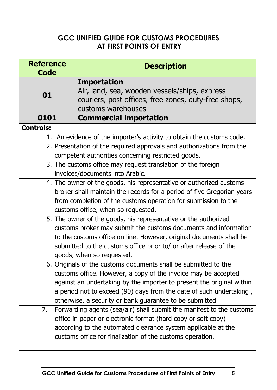## **GCC UNIFIED GUIDE FOR CUSTOMS PROCEDURES AT FIRST POINTS OF ENTRY**

| <b>Reference</b><br>Code | <b>Description</b>                                                                                                                                                                                                                                                                                                                            |
|--------------------------|-----------------------------------------------------------------------------------------------------------------------------------------------------------------------------------------------------------------------------------------------------------------------------------------------------------------------------------------------|
| 01                       | <b>Importation</b><br>Air, land, sea, wooden vessels/ships, express<br>couriers, post offices, free zones, duty-free shops,<br>customs warehouses                                                                                                                                                                                             |
| 0101                     | <b>Commercial importation</b>                                                                                                                                                                                                                                                                                                                 |
| <b>Controls:</b>         |                                                                                                                                                                                                                                                                                                                                               |
|                          | 1. An evidence of the importer's activity to obtain the customs code.                                                                                                                                                                                                                                                                         |
|                          | 2. Presentation of the required approvals and authorizations from the<br>competent authorities concerning restricted goods.                                                                                                                                                                                                                   |
|                          | 3. The customs office may request translation of the foreign<br>invoices/documents into Arabic.                                                                                                                                                                                                                                               |
|                          | 4. The owner of the goods, his representative or authorized customs<br>broker shall maintain the records for a period of five Gregorian years<br>from completion of the customs operation for submission to the<br>customs office, when so requested.                                                                                         |
|                          | 5. The owner of the goods, his representative or the authorized<br>customs broker may submit the customs documents and information<br>to the customs office on line. However, original documents shall be<br>submitted to the customs office prior to/ or after release of the<br>goods, when so requested.                                   |
|                          | 6. Originals of the customs documents shall be submitted to the<br>customs office. However, a copy of the invoice may be accepted<br>against an undertaking by the importer to present the original within<br>a period not to exceed (90) days from the date of such undertaking,<br>otherwise, a security or bank guarantee to be submitted. |
| 7.                       | Forwarding agents (sea/air) shall submit the manifest to the customs<br>office in paper or electronic format (hard copy or soft copy)<br>according to the automated clearance system applicable at the<br>customs office for finalization of the customs operation.                                                                           |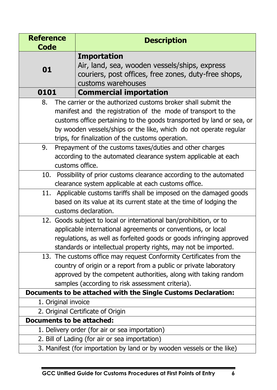| <b>Reference</b><br>Code |                     | <b>Description</b>                                                                                                                                                                                                                                                                                                                |
|--------------------------|---------------------|-----------------------------------------------------------------------------------------------------------------------------------------------------------------------------------------------------------------------------------------------------------------------------------------------------------------------------------|
| 01                       |                     | <b>Importation</b><br>Air, land, sea, wooden vessels/ships, express<br>couriers, post offices, free zones, duty-free shops,<br>customs warehouses                                                                                                                                                                                 |
| 0101                     |                     | <b>Commercial importation</b>                                                                                                                                                                                                                                                                                                     |
| 8.                       |                     | The carrier or the authorized customs broker shall submit the<br>manifest and the registration of the mode of transport to the<br>customs office pertaining to the goods transported by land or sea, or<br>by wooden vessels/ships or the like, which do not operate regular<br>trips, for finalization of the customs operation. |
| 9.                       |                     | Prepayment of the customs taxes/duties and other charges<br>according to the automated clearance system applicable at each<br>customs office.                                                                                                                                                                                     |
|                          |                     | 10. Possibility of prior customs clearance according to the automated<br>clearance system applicable at each customs office.                                                                                                                                                                                                      |
| 11.                      |                     | Applicable customs tariffs shall be imposed on the damaged goods<br>based on its value at its current state at the time of lodging the<br>customs declaration.                                                                                                                                                                    |
|                          |                     | 12. Goods subject to local or international ban/prohibition, or to<br>applicable international agreements or conventions, or local<br>regulations, as well as forfeited goods or goods infringing approved<br>standards or intellectual property rights, may not be imported.                                                     |
|                          |                     | 13. The customs office may request Conformity Certificates from the<br>country of origin or a report from a public or private laboratory<br>approved by the competent authorities, along with taking random<br>samples (according to risk assessment criteria).                                                                   |
|                          |                     | Documents to be attached with the Single Customs Declaration:                                                                                                                                                                                                                                                                     |
|                          | 1. Original invoice | 2. Original Certificate of Origin                                                                                                                                                                                                                                                                                                 |
|                          |                     | <b>Documents to be attached:</b>                                                                                                                                                                                                                                                                                                  |
|                          |                     | 1. Delivery order (for air or sea importation)                                                                                                                                                                                                                                                                                    |
|                          |                     | 2. Bill of Lading (for air or sea importation)                                                                                                                                                                                                                                                                                    |
|                          |                     | 3. Manifest (for importation by land or by wooden vessels or the like)                                                                                                                                                                                                                                                            |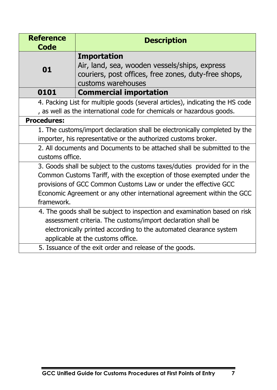| <b>Reference</b><br><b>Code</b>                                           | <b>Description</b>                                                                                                                                |  |
|---------------------------------------------------------------------------|---------------------------------------------------------------------------------------------------------------------------------------------------|--|
| 01                                                                        | <b>Importation</b><br>Air, land, sea, wooden vessels/ships, express<br>couriers, post offices, free zones, duty-free shops,<br>customs warehouses |  |
| 0101                                                                      | <b>Commercial importation</b>                                                                                                                     |  |
|                                                                           | 4. Packing List for multiple goods (several articles), indicating the HS code                                                                     |  |
| , as well as the international code for chemicals or hazardous goods.     |                                                                                                                                                   |  |
| <b>Procedures:</b>                                                        |                                                                                                                                                   |  |
|                                                                           | 1. The customs/import declaration shall be electronically completed by the                                                                        |  |
|                                                                           | importer, his representative or the authorized customs broker.                                                                                    |  |
| 2. All documents and Documents to be attached shall be submitted to the   |                                                                                                                                                   |  |
| customs office.                                                           |                                                                                                                                                   |  |
| 3. Goods shall be subject to the customs taxes/duties provided for in the |                                                                                                                                                   |  |
| Common Customs Tariff, with the exception of those exempted under the     |                                                                                                                                                   |  |
| provisions of GCC Common Customs Law or under the effective GCC           |                                                                                                                                                   |  |
| Economic Agreement or any other international agreement within the GCC    |                                                                                                                                                   |  |
| framework.                                                                |                                                                                                                                                   |  |
| 4. The goods shall be subject to inspection and examination based on risk |                                                                                                                                                   |  |
|                                                                           | assessment criteria. The customs/import declaration shall be                                                                                      |  |
|                                                                           | electronically printed according to the automated clearance system                                                                                |  |
|                                                                           | applicable at the customs office.                                                                                                                 |  |
| 5. Issuance of the exit order and release of the goods.                   |                                                                                                                                                   |  |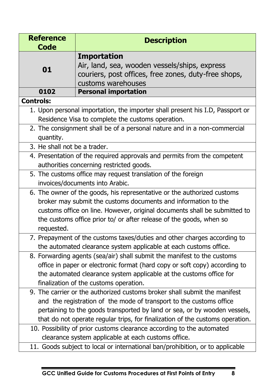| <b>Reference</b><br><b>Code</b>                                           | <b>Description</b>                                                            |  |
|---------------------------------------------------------------------------|-------------------------------------------------------------------------------|--|
|                                                                           | <b>Importation</b>                                                            |  |
|                                                                           | Air, land, sea, wooden vessels/ships, express                                 |  |
| 01                                                                        | couriers, post offices, free zones, duty-free shops,                          |  |
|                                                                           | customs warehouses                                                            |  |
| 0102                                                                      | <b>Personal importation</b>                                                   |  |
| <b>Controls:</b>                                                          |                                                                               |  |
|                                                                           | 1. Upon personal importation, the importer shall present his I.D, Passport or |  |
|                                                                           | Residence Visa to complete the customs operation.                             |  |
|                                                                           | 2. The consignment shall be of a personal nature and in a non-commercial      |  |
| quantity.                                                                 |                                                                               |  |
| 3. He shall not be a trader.                                              |                                                                               |  |
| 4. Presentation of the required approvals and permits from the competent  |                                                                               |  |
|                                                                           | authorities concerning restricted goods.                                      |  |
|                                                                           | 5. The customs office may request translation of the foreign                  |  |
|                                                                           | invoices/documents into Arabic.                                               |  |
|                                                                           | 6. The owner of the goods, his representative or the authorized customs       |  |
|                                                                           | broker may submit the customs documents and information to the                |  |
| customs office on line. However, original documents shall be submitted to |                                                                               |  |
| the customs office prior to/ or after release of the goods, when so       |                                                                               |  |
| requested.                                                                |                                                                               |  |
|                                                                           | 7. Prepayment of the customs taxes/duties and other charges according to      |  |
|                                                                           | the automated clearance system applicable at each customs office.             |  |
|                                                                           | 8. Forwarding agents (sea/air) shall submit the manifest to the customs       |  |
|                                                                           | office in paper or electronic format (hard copy or soft copy) according to    |  |
|                                                                           | the automated clearance system applicable at the customs office for           |  |
| finalization of the customs operation.                                    |                                                                               |  |
|                                                                           | 9. The carrier or the authorized customs broker shall submit the manifest     |  |
|                                                                           | and the registration of the mode of transport to the customs office           |  |
|                                                                           | pertaining to the goods transported by land or sea, or by wooden vessels,     |  |
|                                                                           | that do not operate regular trips, for finalization of the customs operation. |  |
|                                                                           | 10. Possibility of prior customs clearance according to the automated         |  |
|                                                                           | clearance system applicable at each customs office.                           |  |
|                                                                           | 11. Goods subject to local or international ban/prohibition, or to applicable |  |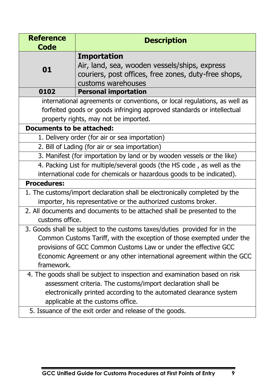| <b>Reference</b><br><b>Code</b>                                                                                                                                                                                                                      | <b>Description</b>                                                                                                                                                                           |  |
|------------------------------------------------------------------------------------------------------------------------------------------------------------------------------------------------------------------------------------------------------|----------------------------------------------------------------------------------------------------------------------------------------------------------------------------------------------|--|
| 01                                                                                                                                                                                                                                                   | <b>Importation</b><br>Air, land, sea, wooden vessels/ships, express<br>couriers, post offices, free zones, duty-free shops,<br>customs warehouses                                            |  |
| 0102                                                                                                                                                                                                                                                 | <b>Personal importation</b>                                                                                                                                                                  |  |
|                                                                                                                                                                                                                                                      | international agreements or conventions, or local regulations, as well as<br>forfeited goods or goods infringing approved standards or intellectual<br>property rights, may not be imported. |  |
| Documents to be attached:                                                                                                                                                                                                                            |                                                                                                                                                                                              |  |
| 1. Delivery order (for air or sea importation)                                                                                                                                                                                                       |                                                                                                                                                                                              |  |
|                                                                                                                                                                                                                                                      | 2. Bill of Lading (for air or sea importation)                                                                                                                                               |  |
| 3. Manifest (for importation by land or by wooden vessels or the like)                                                                                                                                                                               |                                                                                                                                                                                              |  |
| 4. Packing List for multiple/several goods (the HS code, as well as the                                                                                                                                                                              |                                                                                                                                                                                              |  |
| international code for chemicals or hazardous goods to be indicated).                                                                                                                                                                                |                                                                                                                                                                                              |  |
| <b>Procedures:</b>                                                                                                                                                                                                                                   |                                                                                                                                                                                              |  |
| 1. The customs/import declaration shall be electronically completed by the                                                                                                                                                                           |                                                                                                                                                                                              |  |
| importer, his representative or the authorized customs broker.                                                                                                                                                                                       |                                                                                                                                                                                              |  |
| 2. All documents and documents to be attached shall be presented to the<br>customs office.                                                                                                                                                           |                                                                                                                                                                                              |  |
| 3. Goods shall be subject to the customs taxes/duties provided for in the                                                                                                                                                                            |                                                                                                                                                                                              |  |
| Common Customs Tariff, with the exception of those exempted under the                                                                                                                                                                                |                                                                                                                                                                                              |  |
| provisions of GCC Common Customs Law or under the effective GCC                                                                                                                                                                                      |                                                                                                                                                                                              |  |
| Economic Agreement or any other international agreement within the GCC                                                                                                                                                                               |                                                                                                                                                                                              |  |
| framework.                                                                                                                                                                                                                                           |                                                                                                                                                                                              |  |
| 4. The goods shall be subject to inspection and examination based on risk<br>assessment criteria. The customs/import declaration shall be<br>electronically printed according to the automated clearance system<br>applicable at the customs office. |                                                                                                                                                                                              |  |
| 5. Issuance of the exit order and release of the goods.                                                                                                                                                                                              |                                                                                                                                                                                              |  |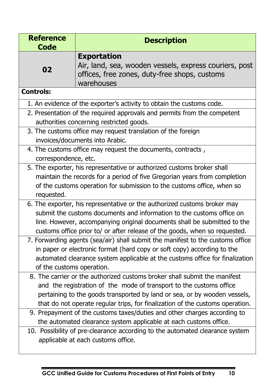| <b>Reference</b><br><b>Code</b>                                                                                                                                                                                                                                                                                                                                                                                                                                 | <b>Description</b>                                                                                                                          |  |  |
|-----------------------------------------------------------------------------------------------------------------------------------------------------------------------------------------------------------------------------------------------------------------------------------------------------------------------------------------------------------------------------------------------------------------------------------------------------------------|---------------------------------------------------------------------------------------------------------------------------------------------|--|--|
| 02                                                                                                                                                                                                                                                                                                                                                                                                                                                              | <b>Exportation</b><br>Air, land, sea, wooden vessels, express couriers, post<br>offices, free zones, duty-free shops, customs<br>warehouses |  |  |
| <b>Controls:</b>                                                                                                                                                                                                                                                                                                                                                                                                                                                |                                                                                                                                             |  |  |
|                                                                                                                                                                                                                                                                                                                                                                                                                                                                 | 1. An evidence of the exporter's activity to obtain the customs code.                                                                       |  |  |
| 2. Presentation of the required approvals and permits from the competent<br>authorities concerning restricted goods.                                                                                                                                                                                                                                                                                                                                            |                                                                                                                                             |  |  |
| 3. The customs office may request translation of the foreign<br>invoices/documents into Arabic.                                                                                                                                                                                                                                                                                                                                                                 |                                                                                                                                             |  |  |
|                                                                                                                                                                                                                                                                                                                                                                                                                                                                 | 4. The customs office may request the documents, contracts,<br>correspondence, etc.                                                         |  |  |
| 5. The exporter, his representative or authorized customs broker shall<br>maintain the records for a period of five Gregorian years from completion<br>of the customs operation for submission to the customs office, when so<br>requested.                                                                                                                                                                                                                     |                                                                                                                                             |  |  |
| 6. The exporter, his representative or the authorized customs broker may<br>submit the customs documents and information to the customs office on<br>line. However, accompanying original documents shall be submitted to the<br>customs office prior to/ or after release of the goods, when so requested.                                                                                                                                                     |                                                                                                                                             |  |  |
| 7. Forwarding agents (sea/air) shall submit the manifest to the customs office<br>in paper or electronic format (hard copy or soft copy) according to the<br>automated clearance system applicable at the customs office for finalization<br>of the customs operation.                                                                                                                                                                                          |                                                                                                                                             |  |  |
| 8. The carrier or the authorized customs broker shall submit the manifest<br>and the registration of the mode of transport to the customs office<br>pertaining to the goods transported by land or sea, or by wooden vessels,<br>that do not operate regular trips, for finalization of the customs operation.<br>9. Prepayment of the customs taxes/duties and other charges according to<br>the automated clearance system applicable at each customs office. |                                                                                                                                             |  |  |
| 10. Possibility of pre-clearance according to the automated clearance system<br>applicable at each customs office.                                                                                                                                                                                                                                                                                                                                              |                                                                                                                                             |  |  |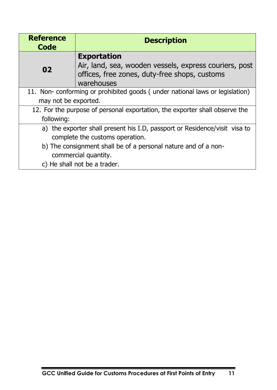| <b>Reference</b><br>Code                                                     | <b>Description</b>                                     |  |
|------------------------------------------------------------------------------|--------------------------------------------------------|--|
|                                                                              | <b>Exportation</b>                                     |  |
| 02                                                                           | Air, land, sea, wooden vessels, express couriers, post |  |
|                                                                              | offices, free zones, duty-free shops, customs          |  |
|                                                                              | warehouses                                             |  |
| 11. Non- conforming or prohibited goods (under national laws or legislation) |                                                        |  |
| may not be exported.                                                         |                                                        |  |
| 12. For the purpose of personal exportation, the exporter shall observe the  |                                                        |  |
| following:                                                                   |                                                        |  |
| a) the exporter shall present his I.D, passport or Residence/visit visa to   |                                                        |  |
| complete the customs operation.                                              |                                                        |  |
| b) The consignment shall be of a personal nature and of a non-               |                                                        |  |
| commercial quantity.                                                         |                                                        |  |
| c) He shall not be a trader.                                                 |                                                        |  |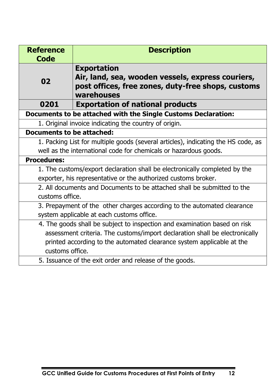| <b>Reference</b><br><b>Code</b>                                                   | <b>Description</b>                                                                                                                          |  |
|-----------------------------------------------------------------------------------|---------------------------------------------------------------------------------------------------------------------------------------------|--|
| 02                                                                                | <b>Exportation</b><br>Air, land, sea, wooden vessels, express couriers,<br>post offices, free zones, duty-free shops, customs<br>warehouses |  |
| 0201                                                                              | <b>Exportation of national products</b>                                                                                                     |  |
|                                                                                   | Documents to be attached with the Single Customs Declaration:                                                                               |  |
| 1. Original invoice indicating the country of origin.                             |                                                                                                                                             |  |
| <b>Documents to be attached:</b>                                                  |                                                                                                                                             |  |
| 1. Packing List for multiple goods (several articles), indicating the HS code, as |                                                                                                                                             |  |
| well as the international code for chemicals or hazardous goods.                  |                                                                                                                                             |  |
| <b>Procedures:</b>                                                                |                                                                                                                                             |  |
| 1. The customs/export declaration shall be electronically completed by the        |                                                                                                                                             |  |
| exporter, his representative or the authorized customs broker.                    |                                                                                                                                             |  |
| 2. All documents and Documents to be attached shall be submitted to the           |                                                                                                                                             |  |
| customs office.                                                                   |                                                                                                                                             |  |
| 3. Prepayment of the other charges according to the automated clearance           |                                                                                                                                             |  |
|                                                                                   | system applicable at each customs office.                                                                                                   |  |
|                                                                                   | 4. The goods shall be subject to inspection and examination based on risk                                                                   |  |
|                                                                                   | assessment criteria. The customs/import declaration shall be electronically                                                                 |  |
|                                                                                   | printed according to the automated clearance system applicable at the                                                                       |  |
|                                                                                   | customs office.                                                                                                                             |  |
|                                                                                   | 5. Issuance of the exit order and release of the goods.                                                                                     |  |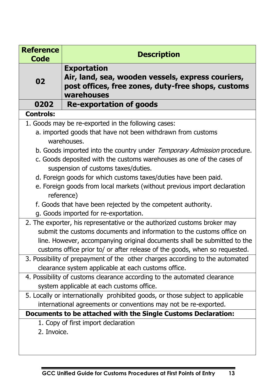| <b>Reference</b><br><b>Code</b>                                                                                       | <b>Description</b>                                                                                                                          |  |
|-----------------------------------------------------------------------------------------------------------------------|---------------------------------------------------------------------------------------------------------------------------------------------|--|
| 02                                                                                                                    | <b>Exportation</b><br>Air, land, sea, wooden vessels, express couriers,<br>post offices, free zones, duty-free shops, customs<br>warehouses |  |
| 0202                                                                                                                  | <b>Re-exportation of goods</b>                                                                                                              |  |
| <b>Controls:</b>                                                                                                      |                                                                                                                                             |  |
|                                                                                                                       | 1. Goods may be re-exported in the following cases:                                                                                         |  |
| a. imported goods that have not been withdrawn from customs<br>warehouses.                                            |                                                                                                                                             |  |
|                                                                                                                       | b. Goods imported into the country under Temporary Admission procedure.                                                                     |  |
|                                                                                                                       | c. Goods deposited with the customs warehouses as one of the cases of<br>suspension of customs taxes/duties.                                |  |
|                                                                                                                       | d. Foreign goods for which customs taxes/duties have been paid.                                                                             |  |
|                                                                                                                       | e. Foreign goods from local markets (without previous import declaration                                                                    |  |
|                                                                                                                       | reference)                                                                                                                                  |  |
|                                                                                                                       | f. Goods that have been rejected by the competent authority.                                                                                |  |
| g. Goods imported for re-exportation.                                                                                 |                                                                                                                                             |  |
|                                                                                                                       | 2. The exporter, his representative or the authorized customs broker may                                                                    |  |
| submit the customs documents and information to the customs office on                                                 |                                                                                                                                             |  |
| line. However, accompanying original documents shall be submitted to the                                              |                                                                                                                                             |  |
| customs office prior to/ or after release of the goods, when so requested.                                            |                                                                                                                                             |  |
| 3. Possibility of prepayment of the other charges according to the automated                                          |                                                                                                                                             |  |
| clearance system applicable at each customs office.                                                                   |                                                                                                                                             |  |
| 4. Possibility of customs clearance according to the automated clearance<br>system applicable at each customs office. |                                                                                                                                             |  |
|                                                                                                                       | 5. Locally or internationally prohibited goods, or those subject to applicable                                                              |  |
|                                                                                                                       | international agreements or conventions may not be re-exported.                                                                             |  |
|                                                                                                                       | Documents to be attached with the Single Customs Declaration:                                                                               |  |
| 2. Invoice.                                                                                                           | 1. Copy of first import declaration                                                                                                         |  |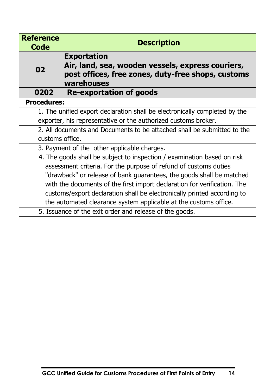| <b>Reference</b><br>Code                                                   | <b>Description</b>                                                                                                                          |  |
|----------------------------------------------------------------------------|---------------------------------------------------------------------------------------------------------------------------------------------|--|
| 02                                                                         | <b>Exportation</b><br>Air, land, sea, wooden vessels, express couriers,<br>post offices, free zones, duty-free shops, customs<br>warehouses |  |
| 0202                                                                       | <b>Re-exportation of goods</b>                                                                                                              |  |
| <b>Procedures:</b>                                                         |                                                                                                                                             |  |
| 1. The unified export declaration shall be electronically completed by the |                                                                                                                                             |  |
| exporter, his representative or the authorized customs broker.             |                                                                                                                                             |  |
| 2. All documents and Documents to be attached shall be submitted to the    |                                                                                                                                             |  |
| customs office.                                                            |                                                                                                                                             |  |
| 3. Payment of the other applicable charges.                                |                                                                                                                                             |  |
| 4. The goods shall be subject to inspection / examination based on risk    |                                                                                                                                             |  |
| assessment criteria. For the purpose of refund of customs duties           |                                                                                                                                             |  |
| "drawback" or release of bank guarantees, the goods shall be matched       |                                                                                                                                             |  |
| with the documents of the first import declaration for verification. The   |                                                                                                                                             |  |
|                                                                            | customs/export declaration shall be electronically printed according to                                                                     |  |
| the automated clearance system applicable at the customs office.           |                                                                                                                                             |  |
| 5. Issuance of the exit order and release of the goods.                    |                                                                                                                                             |  |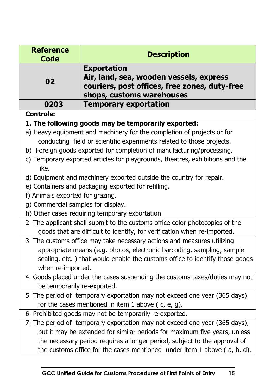| <b>Reference</b>                                                                       | <b>Description</b>                                                                                                    |  |
|----------------------------------------------------------------------------------------|-----------------------------------------------------------------------------------------------------------------------|--|
| <b>Code</b>                                                                            | <b>Exportation</b>                                                                                                    |  |
| 02                                                                                     | Air, land, sea, wooden vessels, express<br>couriers, post offices, free zones, duty-free<br>shops, customs warehouses |  |
| 0203                                                                                   | <b>Temporary exportation</b>                                                                                          |  |
| <b>Controls:</b>                                                                       |                                                                                                                       |  |
|                                                                                        | 1. The following goods may be temporarily exported:                                                                   |  |
|                                                                                        | a) Heavy equipment and machinery for the completion of projects or for                                                |  |
|                                                                                        | conducting field or scientific experiments related to those projects.                                                 |  |
|                                                                                        | b) Foreign goods exported for completion of manufacturing/processing.                                                 |  |
| c) Temporary exported articles for playgrounds, theatres, exhibitions and the<br>like. |                                                                                                                       |  |
|                                                                                        | d) Equipment and machinery exported outside the country for repair.                                                   |  |
|                                                                                        | e) Containers and packaging exported for refilling.                                                                   |  |
| f) Animals exported for grazing.                                                       |                                                                                                                       |  |
| g) Commercial samples for display.                                                     |                                                                                                                       |  |
| h) Other cases requiring temporary exportation.                                        |                                                                                                                       |  |
| 2. The applicant shall submit to the customs office color photocopies of the           |                                                                                                                       |  |
| goods that are difficult to identify, for verification when re-imported.               |                                                                                                                       |  |
| 3. The customs office may take necessary actions and measures utilizing                |                                                                                                                       |  |
| appropriate means (e.g. photos, electronic barcoding, sampling, sample                 |                                                                                                                       |  |
| when re-imported.                                                                      | sealing, etc.) that would enable the customs office to identify those goods                                           |  |
|                                                                                        | 4. Goods placed under the cases suspending the customs taxes/duties may not                                           |  |
| be temporarily re-exported.                                                            |                                                                                                                       |  |
|                                                                                        | 5. The period of temporary exportation may not exceed one year (365 days)                                             |  |
|                                                                                        | for the cases mentioned in item 1 above ( $c$ , $e$ , $g$ ).                                                          |  |
|                                                                                        | 6. Prohibited goods may not be temporarily re-exported.                                                               |  |
|                                                                                        | 7. The period of temporary exportation may not exceed one year (365 days),                                            |  |
|                                                                                        | but it may be extended for similar periods for maximum five years, unless                                             |  |
|                                                                                        | the necessary period requires a longer period, subject to the approval of                                             |  |
| the customs office for the cases mentioned under item 1 above (a, b, d).               |                                                                                                                       |  |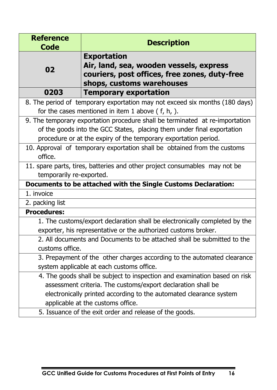| <b>Reference</b><br><b>Code</b>                                         | <b>Description</b>                                                           |  |
|-------------------------------------------------------------------------|------------------------------------------------------------------------------|--|
|                                                                         | <b>Exportation</b>                                                           |  |
|                                                                         | Air, land, sea, wooden vessels, express                                      |  |
| 02                                                                      | couriers, post offices, free zones, duty-free                                |  |
|                                                                         | shops, customs warehouses                                                    |  |
| 0203                                                                    | <b>Temporary exportation</b>                                                 |  |
|                                                                         | 8. The period of temporary exportation may not exceed six months (180 days)  |  |
| for the cases mentioned in item 1 above $( f, h, ).$                    |                                                                              |  |
|                                                                         | 9. The temporary exportation procedure shall be terminated at re-importation |  |
| of the goods into the GCC States, placing them under final exportation  |                                                                              |  |
|                                                                         | procedure or at the expiry of the temporary exportation period.              |  |
|                                                                         | 10. Approval of temporary exportation shall be obtained from the customs     |  |
| office.                                                                 |                                                                              |  |
|                                                                         | 11. spare parts, tires, batteries and other project consumables may not be   |  |
| temporarily re-exported.                                                |                                                                              |  |
|                                                                         | Documents to be attached with the Single Customs Declaration:                |  |
| 1. invoice                                                              |                                                                              |  |
| 2. packing list                                                         |                                                                              |  |
| <b>Procedures:</b>                                                      |                                                                              |  |
|                                                                         | 1. The customs/export declaration shall be electronically completed by the   |  |
| exporter, his representative or the authorized customs broker.          |                                                                              |  |
| 2. All documents and Documents to be attached shall be submitted to the |                                                                              |  |
| customs office.                                                         |                                                                              |  |
| 3. Prepayment of the other charges according to the automated clearance |                                                                              |  |
| system applicable at each customs office.                               |                                                                              |  |
|                                                                         | 4. The goods shall be subject to inspection and examination based on risk    |  |
|                                                                         | assessment criteria. The customs/export declaration shall be                 |  |
|                                                                         | electronically printed according to the automated clearance system           |  |
|                                                                         | applicable at the customs office.                                            |  |
| 5. Issuance of the exit order and release of the goods.                 |                                                                              |  |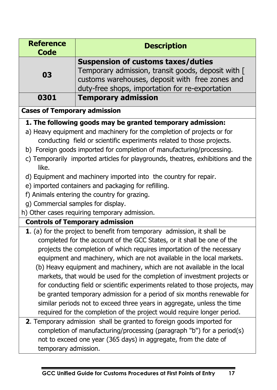| <b>Reference</b><br><b>Code</b> | <b>Description</b>                                                                                                                                                                                    |
|---------------------------------|-------------------------------------------------------------------------------------------------------------------------------------------------------------------------------------------------------|
| 03                              | <b>Suspension of customs taxes/duties</b><br>Temporary admission, transit goods, deposit with [<br>customs warehouses, deposit with free zones and<br>duty-free shops, importation for re-exportation |
| 0301                            | <b>Temporary admission</b>                                                                                                                                                                            |

### **Cases of Temporary admission**

## **1. The following goods may be granted temporary admission:**

- a) Heavy equipment and machinery for the completion of projects or for conducting field or scientific experiments related to those projects.
- b) Foreign goods imported for completion of manufacturing/processing.
- c) Temporarily imported articles for playgrounds, theatres, exhibitions and the like.
- d) Equipment and machinery imported into the country for repair.
- e) imported containers and packaging for refilling.
- f) Animals entering the country for grazing.
- g) Commercial samples for display.
- h) Other cases requiring temporary admission.

## **Controls of Temporary admission**

- **1**. (a) for the project to benefit from temporary admission, it shall be completed for the account of the GCC States, or it shall be one of the projects the completion of which requires importation of the necessary equipment and machinery, which are not available in the local markets. (b) Heavy equipment and machinery, which are not available in the local markets, that would be used for the completion of investment projects or for conducting field or scientific experiments related to those projects, may be granted temporary admission for a period of six months renewable for similar periods not to exceed three years in aggregate, unless the time required for the completion of the project would require longer period.
- **2**. Temporary admission shall be granted to foreign goods imported for completion of manufacturing/processing (paragraph "b") for a period(s) not to exceed one year (365 days) in aggregate, from the date of temporary admission.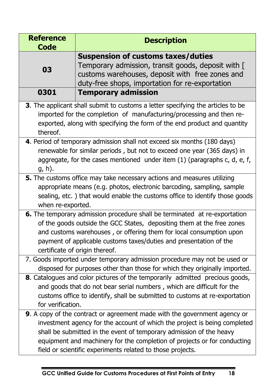| <b>Reference</b><br><b>Code</b> | <b>Description</b>                                                                                                                                                                                                                                                                                                                                                                                                                                                                                                                                                                                                                                                                                                                     |
|---------------------------------|----------------------------------------------------------------------------------------------------------------------------------------------------------------------------------------------------------------------------------------------------------------------------------------------------------------------------------------------------------------------------------------------------------------------------------------------------------------------------------------------------------------------------------------------------------------------------------------------------------------------------------------------------------------------------------------------------------------------------------------|
| 03                              | <b>Suspension of customs taxes/duties</b><br>Temporary admission, transit goods, deposit with [<br>customs warehouses, deposit with free zones and<br>duty-free shops, importation for re-exportation                                                                                                                                                                                                                                                                                                                                                                                                                                                                                                                                  |
| 0301                            | <b>Temporary admission</b>                                                                                                                                                                                                                                                                                                                                                                                                                                                                                                                                                                                                                                                                                                             |
| thereof.                        | 3. The applicant shall submit to customs a letter specifying the articles to be<br>imported for the completion of manufacturing/processing and then re-<br>exported, along with specifying the form of the end product and quantity                                                                                                                                                                                                                                                                                                                                                                                                                                                                                                    |
| g, h).                          | 4. Period of temporary admission shall not exceed six months (180 days)<br>renewable for similar periods, but not to exceed one year (365 days) in<br>aggregate, for the cases mentioned under item $(1)$ (paragraphs c, d, e, f,                                                                                                                                                                                                                                                                                                                                                                                                                                                                                                      |
| when re-exported.               | 5. The customs office may take necessary actions and measures utilizing<br>appropriate means (e.g. photos, electronic barcoding, sampling, sample<br>sealing, etc.) that would enable the customs office to identify those goods                                                                                                                                                                                                                                                                                                                                                                                                                                                                                                       |
| for verification.               | 6. The temporary admission procedure shall be terminated at re-exportation<br>of the goods outside the GCC States, depositing them at the free zones<br>and customs warehouses, or offering them for local consumption upon<br>payment of applicable customs taxes/duties and presentation of the<br>certificate of origin thereof.<br>7. Goods imported under temporary admission procedure may not be used or<br>disposed for purposes other than those for which they originally imported.<br>8. Catalogues and color pictures of the temporarily admitted precious goods,<br>and goods that do not bear serial numbers, which are difficult for the<br>customs office to identify, shall be submitted to customs at re-exportation |
|                                 | 9. A copy of the contract or agreement made with the government agency or<br>investment agency for the account of which the project is being completed<br>shall be submitted in the event of temporary admission of the heavy<br>equipment and machinery for the completion of projects or for conducting<br>field or scientific experiments related to those projects.                                                                                                                                                                                                                                                                                                                                                                |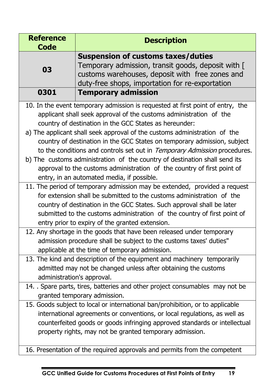| <b>Reference</b><br><b>Code</b> | <b>Description</b>                                                                                                                                                                                                                                                                                                                                                                                                                                                                                                                                                                                                                                                                                                                                                                                                                                                                                                                                                      |
|---------------------------------|-------------------------------------------------------------------------------------------------------------------------------------------------------------------------------------------------------------------------------------------------------------------------------------------------------------------------------------------------------------------------------------------------------------------------------------------------------------------------------------------------------------------------------------------------------------------------------------------------------------------------------------------------------------------------------------------------------------------------------------------------------------------------------------------------------------------------------------------------------------------------------------------------------------------------------------------------------------------------|
| 03                              | <b>Suspension of customs taxes/duties</b><br>Temporary admission, transit goods, deposit with [<br>customs warehouses, deposit with free zones and<br>duty-free shops, importation for re-exportation                                                                                                                                                                                                                                                                                                                                                                                                                                                                                                                                                                                                                                                                                                                                                                   |
| 0301                            | <b>Temporary admission</b>                                                                                                                                                                                                                                                                                                                                                                                                                                                                                                                                                                                                                                                                                                                                                                                                                                                                                                                                              |
|                                 | 10. In the event temporary admission is requested at first point of entry, the<br>applicant shall seek approval of the customs administration of the<br>country of destination in the GCC States as hereunder:<br>a) The applicant shall seek approval of the customs administration of the<br>country of destination in the GCC States on temporary admission, subject<br>to the conditions and controls set out in Temporary Admission procedures.<br>b) The customs administration of the country of destination shall send its<br>approval to the customs administration of the country of first point of<br>entry, in an automated media, if possible.<br>11. The period of temporary admission may be extended, provided a request<br>for extension shall be submitted to the customs administration of the<br>country of destination in the GCC States. Such approval shall be later<br>submitted to the customs administration of the country of first point of |
|                                 | entry prior to expiry of the granted extension.<br>12. Any shortage in the goods that have been released under temporary                                                                                                                                                                                                                                                                                                                                                                                                                                                                                                                                                                                                                                                                                                                                                                                                                                                |
|                                 | admission procedure shall be subject to the customs taxes' duties"<br>applicable at the time of temporary admission.                                                                                                                                                                                                                                                                                                                                                                                                                                                                                                                                                                                                                                                                                                                                                                                                                                                    |
| administration's approval.      | 13. The kind and description of the equipment and machinery temporarily<br>admitted may not be changed unless after obtaining the customs                                                                                                                                                                                                                                                                                                                                                                                                                                                                                                                                                                                                                                                                                                                                                                                                                               |
|                                 | 14. Spare parts, tires, batteries and other project consumables may not be<br>granted temporary admission.                                                                                                                                                                                                                                                                                                                                                                                                                                                                                                                                                                                                                                                                                                                                                                                                                                                              |
|                                 | 15. Goods subject to local or international ban/prohibition, or to applicable<br>international agreements or conventions, or local regulations, as well as<br>counterfeited goods or goods infringing approved standards or intellectual<br>property rights, may not be granted temporary admission.<br>16. Presentation of the required approvals and permits from the competent                                                                                                                                                                                                                                                                                                                                                                                                                                                                                                                                                                                       |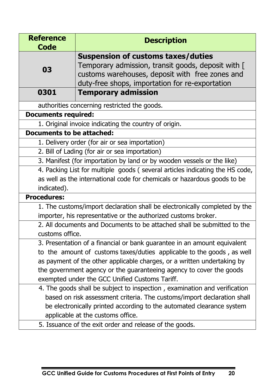| <b>Reference</b><br><b>Code</b>                                              | <b>Description</b>                                                         |  |
|------------------------------------------------------------------------------|----------------------------------------------------------------------------|--|
|                                                                              | <b>Suspension of customs taxes/duties</b>                                  |  |
| 03                                                                           | Temporary admission, transit goods, deposit with [                         |  |
|                                                                              | customs warehouses, deposit with free zones and                            |  |
|                                                                              | duty-free shops, importation for re-exportation                            |  |
| 0301                                                                         | <b>Temporary admission</b>                                                 |  |
|                                                                              | authorities concerning restricted the goods.                               |  |
| <b>Documents required:</b>                                                   |                                                                            |  |
|                                                                              | 1. Original invoice indicating the country of origin.                      |  |
| <b>Documents to be attached:</b>                                             |                                                                            |  |
| 1. Delivery order (for air or sea importation)                               |                                                                            |  |
| 2. Bill of Lading (for air or sea importation)                               |                                                                            |  |
| 3. Manifest (for importation by land or by wooden vessels or the like)       |                                                                            |  |
| 4. Packing List for multiple goods (several articles indicating the HS code, |                                                                            |  |
|                                                                              | as well as the international code for chemicals or hazardous goods to be   |  |
| indicated).                                                                  |                                                                            |  |
| <b>Procedures:</b>                                                           |                                                                            |  |
|                                                                              | 1. The customs/import declaration shall be electronically completed by the |  |
| importer, his representative or the authorized customs broker.               |                                                                            |  |
| 2. All documents and Documents to be attached shall be submitted to the      |                                                                            |  |
| customs office.                                                              |                                                                            |  |
|                                                                              | 3. Presentation of a financial or bank guarantee in an amount equivalent   |  |
| to the amount of customs taxes/duties applicable to the goods, as well       |                                                                            |  |
|                                                                              | as payment of the other applicable charges, or a written undertaking by    |  |
| the government agency or the guaranteeing agency to cover the goods          |                                                                            |  |
|                                                                              | exempted under the GCC Unified Customs Tariff.                             |  |
|                                                                              | 4. The goods shall be subject to inspection, examination and verification  |  |
|                                                                              | based on risk assessment criteria. The customs/import declaration shall    |  |
|                                                                              | be electronically printed according to the automated clearance system      |  |
| applicable at the customs office.                                            |                                                                            |  |
|                                                                              | 5. Issuance of the exit order and release of the goods.                    |  |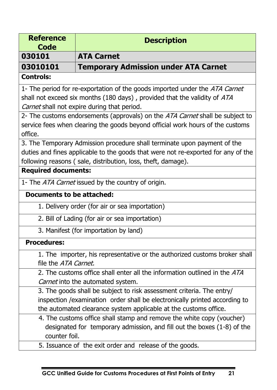| <b>Reference</b><br><b>Code</b>                                             | <b>Description</b>                                                                |  |
|-----------------------------------------------------------------------------|-----------------------------------------------------------------------------------|--|
| 030101                                                                      | <b>ATA Carnet</b>                                                                 |  |
| 03010101                                                                    | <b>Temporary Admission under ATA Carnet</b>                                       |  |
| <b>Controls:</b>                                                            |                                                                                   |  |
|                                                                             | 1- The period for re-exportation of the goods imported under the ATA Carnet       |  |
| shall not exceed six months (180 days), provided that the validity of ATA   |                                                                                   |  |
|                                                                             | Carnet shall not expire during that period.                                       |  |
|                                                                             | 2- The customs endorsements (approvals) on the ATA Carnet shall be subject to     |  |
|                                                                             | service fees when clearing the goods beyond official work hours of the customs    |  |
| office.                                                                     |                                                                                   |  |
|                                                                             | 3. The Temporary Admission procedure shall terminate upon payment of the          |  |
|                                                                             | duties and fines applicable to the goods that were not re-exported for any of the |  |
|                                                                             | following reasons (sale, distribution, loss, theft, damage).                      |  |
| <b>Required documents:</b>                                                  |                                                                                   |  |
|                                                                             | 1- The ATA Carnet issued by the country of origin.                                |  |
| <b>Documents to be attached:</b>                                            |                                                                                   |  |
|                                                                             | 1. Delivery order (for air or sea importation)                                    |  |
|                                                                             | 2. Bill of Lading (for air or sea importation)                                    |  |
| 3. Manifest (for importation by land)                                       |                                                                                   |  |
| <b>Procedures:</b>                                                          |                                                                                   |  |
|                                                                             | 1. The importer, his representative or the authorized customs broker shall        |  |
| file the ATA Carnet.                                                        |                                                                                   |  |
|                                                                             | 2. The customs office shall enter all the information outlined in the ATA         |  |
|                                                                             | Carnet into the automated system.                                                 |  |
| 3. The goods shall be subject to risk assessment criteria. The entry/       |                                                                                   |  |
| inspection / examination order shall be electronically printed according to |                                                                                   |  |
|                                                                             | the automated clearance system applicable at the customs office.                  |  |
|                                                                             | 4. The customs office shall stamp and remove the white copy (voucher)             |  |
|                                                                             | designated for temporary admission, and fill out the boxes (1-8) of the           |  |
| counter foil.                                                               |                                                                                   |  |
|                                                                             | 5. Issuance of the exit order and release of the goods.                           |  |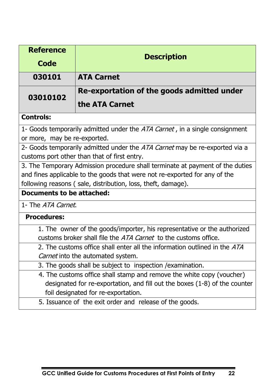| <b>Reference</b>                                                            |                                                                               |  |
|-----------------------------------------------------------------------------|-------------------------------------------------------------------------------|--|
| Code                                                                        | <b>Description</b>                                                            |  |
| 030101                                                                      | <b>ATA Carnet</b>                                                             |  |
| 03010102                                                                    | Re-exportation of the goods admitted under                                    |  |
|                                                                             | the ATA Carnet                                                                |  |
| <b>Controls:</b>                                                            |                                                                               |  |
| or more, may be re-exported.                                                | 1- Goods temporarily admitted under the ATA Carnet, in a single consignment   |  |
| 2- Goods temporarily admitted under the ATA Carnet may be re-exported via a |                                                                               |  |
|                                                                             | customs port other than that of first entry.                                  |  |
|                                                                             | 3. The Temporary Admission procedure shall terminate at payment of the duties |  |
| and fines applicable to the goods that were not re-exported for any of the  |                                                                               |  |
|                                                                             | following reasons (sale, distribution, loss, theft, damage).                  |  |
| <b>Documents to be attached:</b>                                            |                                                                               |  |
| 1- The ATA Carnet.                                                          |                                                                               |  |
| <b>Procedures:</b>                                                          |                                                                               |  |
|                                                                             | 1. The owner of the goods/importer, his representative or the authorized      |  |
|                                                                             | customs broker shall file the <i>ATA Carnet</i> to the customs office.        |  |
|                                                                             | 2. The customs office shall enter all the information outlined in the ATA     |  |
|                                                                             | Carnet into the automated system.                                             |  |
|                                                                             | 3. The goods shall be subject to inspection / examination.                    |  |
|                                                                             | 4. The customs office shall stamp and remove the white copy (voucher)         |  |
|                                                                             | designated for re-exportation, and fill out the boxes (1-8) of the counter    |  |
|                                                                             | foil designated for re-exportation.                                           |  |

5. Issuance of the exit order and release of the goods.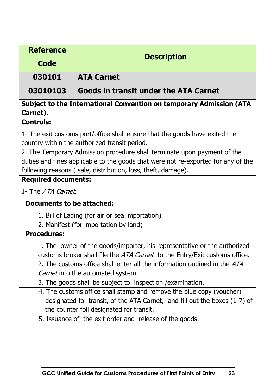| <b>Reference</b>                                                                  |                                                                            |  |
|-----------------------------------------------------------------------------------|----------------------------------------------------------------------------|--|
| <b>Code</b>                                                                       | <b>Description</b>                                                         |  |
| 030101                                                                            | <b>ATA Carnet</b>                                                          |  |
| 03010103                                                                          | Goods in transit under the ATA Carnet                                      |  |
| Carnet).                                                                          | Subject to the International Convention on temporary Admission (ATA        |  |
| <b>Controls:</b>                                                                  |                                                                            |  |
| 1- The exit customs port/office shall ensure that the goods have exited the       |                                                                            |  |
|                                                                                   | country within the authorized transit period.                              |  |
| 2. The Temporary Admission procedure shall terminate upon payment of the          |                                                                            |  |
| duties and fines applicable to the goods that were not re-exported for any of the |                                                                            |  |
| following reasons (sale, distribution, loss, theft, damage).                      |                                                                            |  |
| <b>Required documents:</b>                                                        |                                                                            |  |
| 1- The ATA Carnet.                                                                |                                                                            |  |
| <b>Documents to be attached:</b>                                                  |                                                                            |  |
|                                                                                   | 1. Bill of Lading (for air or sea importation)                             |  |
| 2. Manifest (for importation by land)                                             |                                                                            |  |
| <b>Procedures:</b>                                                                |                                                                            |  |
|                                                                                   | 1. The owner of the goods/importer, his representative or the authorized   |  |
|                                                                                   | customs broker shall file the ATA Carnet to the Entry/Exit customs office. |  |
|                                                                                   | 2. The customs office shall enter all the information outlined in the ATA  |  |
|                                                                                   | Carnet into the automated system.                                          |  |
|                                                                                   | 3. The goods shall be subject to inspection / examination.                 |  |
|                                                                                   | 4. The customs office shall stamp and remove the blue copy (voucher)       |  |
|                                                                                   | designated for transit, of the ATA Carnet, and fill out the boxes (1-7) of |  |
|                                                                                   | the counter foil designated for transit.                                   |  |
|                                                                                   | 5. Issuance of the exit order and release of the goods.                    |  |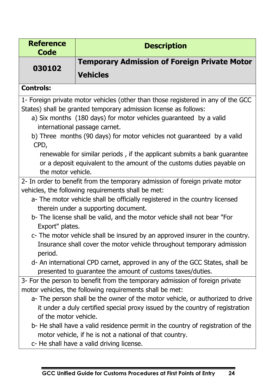| <b>Reference</b><br><b>Code</b>                                              | <b>Description</b>                                                                                                                                                                      |  |  |
|------------------------------------------------------------------------------|-----------------------------------------------------------------------------------------------------------------------------------------------------------------------------------------|--|--|
| 030102                                                                       | <b>Temporary Admission of Foreign Private Motor</b>                                                                                                                                     |  |  |
|                                                                              | <b>Vehicles</b>                                                                                                                                                                         |  |  |
| <b>Controls:</b>                                                             |                                                                                                                                                                                         |  |  |
|                                                                              | 1- Foreign private motor vehicles (other than those registered in any of the GCC                                                                                                        |  |  |
|                                                                              | States) shall be granted temporary admission license as follows:                                                                                                                        |  |  |
|                                                                              | a) Six months (180 days) for motor vehicles guaranteed by a valid                                                                                                                       |  |  |
|                                                                              | international passage carnet.                                                                                                                                                           |  |  |
|                                                                              | b) Three months (90 days) for motor vehicles not guaranteed by a valid                                                                                                                  |  |  |
| CPD,                                                                         |                                                                                                                                                                                         |  |  |
|                                                                              | renewable for similar periods, if the applicant submits a bank guarantee                                                                                                                |  |  |
|                                                                              | or a deposit equivalent to the amount of the customs duties payable on                                                                                                                  |  |  |
| the motor vehicle.                                                           |                                                                                                                                                                                         |  |  |
|                                                                              | 2- In order to benefit from the temporary admission of foreign private motor                                                                                                            |  |  |
|                                                                              | vehicles, the following requirements shall be met:                                                                                                                                      |  |  |
| a- The motor vehicle shall be officially registered in the country licensed  |                                                                                                                                                                                         |  |  |
|                                                                              | therein under a supporting document.                                                                                                                                                    |  |  |
|                                                                              | b- The license shall be valid, and the motor vehicle shall not bear "For                                                                                                                |  |  |
|                                                                              | Export" plates.                                                                                                                                                                         |  |  |
| c- The motor vehicle shall be insured by an approved insurer in the country. |                                                                                                                                                                                         |  |  |
|                                                                              | Insurance shall cover the motor vehicle throughout temporary admission                                                                                                                  |  |  |
| period.                                                                      |                                                                                                                                                                                         |  |  |
|                                                                              | d- An international CPD carnet, approved in any of the GCC States, shall be                                                                                                             |  |  |
|                                                                              | presented to guarantee the amount of customs taxes/duties.                                                                                                                              |  |  |
|                                                                              | 3- For the person to benefit from the temporary admission of foreign private                                                                                                            |  |  |
|                                                                              | motor vehicles, the following requirements shall be met:                                                                                                                                |  |  |
|                                                                              | a- The person shall be the owner of the motor vehicle, or authorized to drive                                                                                                           |  |  |
| of the motor vehicle.                                                        | it under a duly certified special proxy issued by the country of registration                                                                                                           |  |  |
|                                                                              |                                                                                                                                                                                         |  |  |
|                                                                              |                                                                                                                                                                                         |  |  |
|                                                                              |                                                                                                                                                                                         |  |  |
|                                                                              | b- He shall have a valid residence permit in the country of registration of the<br>motor vehicle, if he is not a national of that country.<br>c- He shall have a valid driving license. |  |  |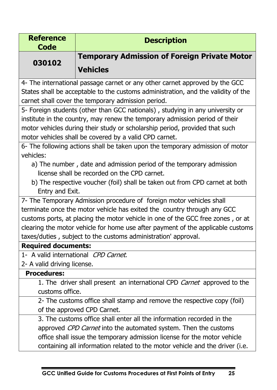| <b>Reference</b><br><b>Code</b>                                                                                                                                                                                                                                                                       | <b>Description</b>                                                                                                                          |  |
|-------------------------------------------------------------------------------------------------------------------------------------------------------------------------------------------------------------------------------------------------------------------------------------------------------|---------------------------------------------------------------------------------------------------------------------------------------------|--|
| 030102                                                                                                                                                                                                                                                                                                | <b>Temporary Admission of Foreign Private Motor</b>                                                                                         |  |
|                                                                                                                                                                                                                                                                                                       | <b>Vehicles</b>                                                                                                                             |  |
| 4- The international passage carnet or any other carnet approved by the GCC<br>States shall be acceptable to the customs administration, and the validity of the<br>carnet shall cover the temporary admission period.                                                                                |                                                                                                                                             |  |
| 5- Foreign students (other than GCC nationals), studying in any university or<br>institute in the country, may renew the temporary admission period of their<br>motor vehicles during their study or scholarship period, provided that such<br>motor vehicles shall be covered by a valid CPD carnet. |                                                                                                                                             |  |
|                                                                                                                                                                                                                                                                                                       | 6- The following actions shall be taken upon the temporary admission of motor                                                               |  |
| vehicles:<br>a) The number, date and admission period of the temporary admission<br>license shall be recorded on the CPD carnet.<br>b) The respective voucher (foil) shall be taken out from CPD carnet at both<br>Entry and Exit.                                                                    |                                                                                                                                             |  |
|                                                                                                                                                                                                                                                                                                       | 7- The Temporary Admission procedure of foreign motor vehicles shall                                                                        |  |
|                                                                                                                                                                                                                                                                                                       | terminate once the motor vehicle has exited the country through any GCC                                                                     |  |
| customs ports, at placing the motor vehicle in one of the GCC free zones, or at                                                                                                                                                                                                                       |                                                                                                                                             |  |
|                                                                                                                                                                                                                                                                                                       | clearing the motor vehicle for home use after payment of the applicable customs                                                             |  |
| taxes/duties, subject to the customs administration' approval.<br><b>Required documents:</b>                                                                                                                                                                                                          |                                                                                                                                             |  |
| 1- A valid international CPD Carnet.                                                                                                                                                                                                                                                                  |                                                                                                                                             |  |
| 2- A valid driving license.                                                                                                                                                                                                                                                                           |                                                                                                                                             |  |
| <b>Procedures:</b>                                                                                                                                                                                                                                                                                    |                                                                                                                                             |  |
|                                                                                                                                                                                                                                                                                                       | 1. The driver shall present an international CPD Carnet approved to the                                                                     |  |
| customs office.                                                                                                                                                                                                                                                                                       |                                                                                                                                             |  |
| 2- The customs office shall stamp and remove the respective copy (foil)                                                                                                                                                                                                                               |                                                                                                                                             |  |
|                                                                                                                                                                                                                                                                                                       | of the approved CPD Carnet.                                                                                                                 |  |
|                                                                                                                                                                                                                                                                                                       | 3. The customs office shall enter all the information recorded in the                                                                       |  |
|                                                                                                                                                                                                                                                                                                       | approved CPD Carnet into the automated system. Then the customs<br>office shall issue the temporary admission license for the motor vehicle |  |
|                                                                                                                                                                                                                                                                                                       | containing all information related to the motor vehicle and the driver (i.e.                                                                |  |
|                                                                                                                                                                                                                                                                                                       |                                                                                                                                             |  |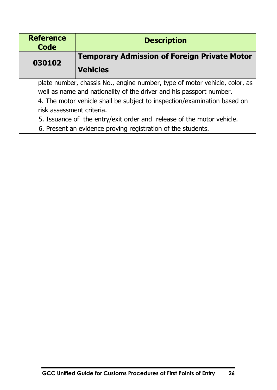| <b>Reference</b><br><b>Code</b>                                            | <b>Description</b>                                                    |
|----------------------------------------------------------------------------|-----------------------------------------------------------------------|
| 030102                                                                     | <b>Temporary Admission of Foreign Private Motor</b>                   |
|                                                                            | <b>Vehicles</b>                                                       |
| plate number, chassis No., engine number, type of motor vehicle, color, as |                                                                       |
| well as name and nationality of the driver and his passport number.        |                                                                       |
| 4. The motor vehicle shall be subject to inspection/examination based on   |                                                                       |
| risk assessment criteria.                                                  |                                                                       |
|                                                                            | 5. Issuance of the entry/exit order and release of the motor vehicle. |
|                                                                            | 6. Present an evidence proving registration of the students.          |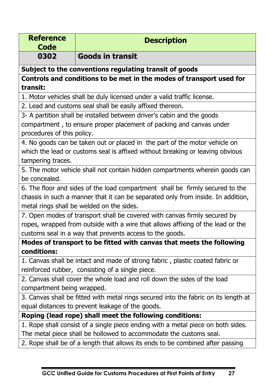| <b>Reference</b><br><b>Code</b>                                                     | <b>Description</b>                                                               |  |
|-------------------------------------------------------------------------------------|----------------------------------------------------------------------------------|--|
| 0302                                                                                | <b>Goods in transit</b>                                                          |  |
|                                                                                     | Subject to the conventions regulating transit of goods                           |  |
|                                                                                     | Controls and conditions to be met in the modes of transport used for             |  |
| transit:                                                                            |                                                                                  |  |
|                                                                                     | 1. Motor vehicles shall be duly licensed under a valid traffic license.          |  |
|                                                                                     | 2. Lead and customs seal shall be easily affixed thereon.                        |  |
|                                                                                     | 3- A partition shall be installed between driver's cabin and the goods           |  |
|                                                                                     | compartment, to ensure proper placement of packing and canvas under              |  |
| procedures of this policy.                                                          |                                                                                  |  |
|                                                                                     | 4. No goods can be taken out or placed in the part of the motor vehicle on       |  |
|                                                                                     | which the lead or customs seal is affixed without breaking or leaving obvious    |  |
| tampering traces.                                                                   |                                                                                  |  |
|                                                                                     | 5. The motor vehicle shall not contain hidden compartments wherein goods can     |  |
| be concealed.                                                                       |                                                                                  |  |
|                                                                                     | 6. The floor and sides of the load compartment shall be firmly secured to the    |  |
|                                                                                     | chassis in such a manner that it can be separated only from inside. In addition, |  |
|                                                                                     | metal rings shall be welded on the sides.                                        |  |
|                                                                                     | 7. Open modes of transport shall be covered with canvas firmly secured by        |  |
|                                                                                     | ropes, wrapped from outside with a wire that allows affixing of the lead or the  |  |
| customs seal in a way that prevents access to the goods.                            |                                                                                  |  |
|                                                                                     | Modes of transport to be fitted with canvas that meets the following             |  |
| conditions:                                                                         |                                                                                  |  |
|                                                                                     | 1. Canvas shall be intact and made of strong fabric, plastic coated fabric or    |  |
|                                                                                     | reinforced rubber, consisting of a single piece.                                 |  |
|                                                                                     | 2. Canvas shall cover the whole load and roll down the sides of the load         |  |
|                                                                                     | compartment being wrapped.                                                       |  |
| 3. Canvas shall be fitted with metal rings secured into the fabric on its length at |                                                                                  |  |
|                                                                                     | equal distances to prevent leakage of the goods.                                 |  |
|                                                                                     | Roping (lead rope) shall meet the following conditions:                          |  |
|                                                                                     | 1. Rope shall consist of a single piece ending with a metal piece on both sides. |  |
|                                                                                     | The metal piece shall be hollowed to accommodate the customs seal.               |  |
|                                                                                     | 2. Rope shall be of a length that allows its ends to be combined after passing   |  |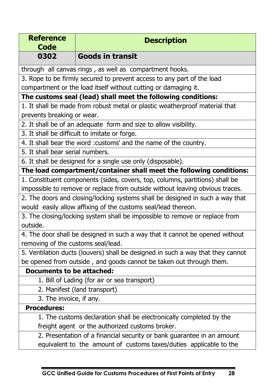| <b>Reference</b>                                                                | <b>Description</b>                                                            |  |
|---------------------------------------------------------------------------------|-------------------------------------------------------------------------------|--|
| <b>Code</b><br>0302                                                             | <b>Goods in transit</b>                                                       |  |
|                                                                                 |                                                                               |  |
|                                                                                 | through all canvas rings, as well as compartment hooks.                       |  |
|                                                                                 | 3. Rope to be firmly secured to prevent access to any part of the load        |  |
|                                                                                 | compartment or the load itself without cutting or damaging it.                |  |
|                                                                                 | The customs seal (lead) shall meet the following conditions:                  |  |
|                                                                                 | 1. It shall be made from robust metal or plastic weatherproof material that   |  |
| prevents breaking or wear.                                                      |                                                                               |  |
|                                                                                 | 2. It shall be of an adequate form and size to allow visibility.              |  |
|                                                                                 | 3. It shall be difficult to imitate or forge.                                 |  |
|                                                                                 | 4. It shall bear the word : customs' and the name of the country.             |  |
| 5. It shall bear serial numbers.                                                |                                                                               |  |
|                                                                                 | 6. It shall be designed for a single use only (disposable).                   |  |
|                                                                                 | The load compartment/container shall meet the following conditions:           |  |
| 1. Constituent components (sides, covers, top, columns, partitions) shall be    |                                                                               |  |
|                                                                                 | impossible to remove or replace from outside without leaving obvious traces.  |  |
|                                                                                 | 2. The doors and closing/locking systems shall be designed in such a way that |  |
|                                                                                 | would easily allow affixing of the customs seal/lead thereon.                 |  |
|                                                                                 | 3. The closing/locking system shall be impossible to remove or replace from   |  |
| outside.                                                                        |                                                                               |  |
| 4. The door shall be designed in such a way that it cannot be opened without    |                                                                               |  |
| removing of the customs seal/lead.                                              |                                                                               |  |
| 5. Ventilation ducts (louvers) shall be designed in such a way that they cannot |                                                                               |  |
|                                                                                 | be opened from outside, and goods cannot be taken out through them.           |  |
| Documents to be attached:                                                       |                                                                               |  |
|                                                                                 | 1. Bill of Lading (for air or sea transport)                                  |  |
|                                                                                 | 2. Manifest (land transport)                                                  |  |
| 3. The invoice, if any.                                                         |                                                                               |  |
| <b>Procedures:</b>                                                              |                                                                               |  |
|                                                                                 | 1. The customs declaration shall be electronically completed by the           |  |
|                                                                                 | freight agent or the authorized customs broker.                               |  |
| 2. Presentation of a financial security or bank guarantee in an amount          |                                                                               |  |
|                                                                                 | equivalent to the amount of customs taxes/duties applicable to the            |  |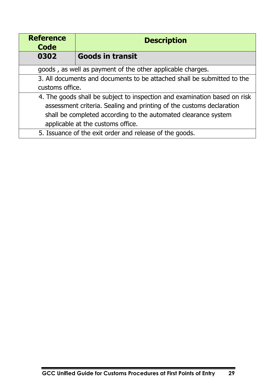| <b>Reference</b><br><b>Code</b>                                           | <b>Description</b>      |
|---------------------------------------------------------------------------|-------------------------|
| 0302                                                                      | <b>Goods in transit</b> |
| goods, as well as payment of the other applicable charges.                |                         |
| 3. All documents and documents to be attached shall be submitted to the   |                         |
| customs office.                                                           |                         |
| 4. The goods shall be subject to inspection and examination based on risk |                         |
| assessment criteria. Sealing and printing of the customs declaration      |                         |
| shall be completed according to the automated clearance system            |                         |
| applicable at the customs office.                                         |                         |
| 5. Issuance of the exit order and release of the goods.                   |                         |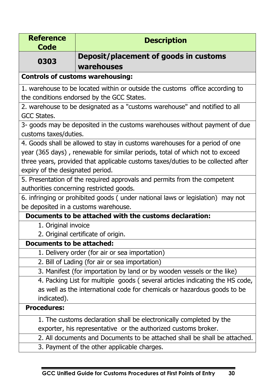| <b>Reference</b><br>Code                                                     | <b>Description</b>                                                               |  |
|------------------------------------------------------------------------------|----------------------------------------------------------------------------------|--|
| 0303                                                                         | Deposit/placement of goods in customs                                            |  |
|                                                                              | warehouses                                                                       |  |
| <b>Controls of customs warehousing:</b>                                      |                                                                                  |  |
| 1. warehouse to be located within or outside the customs office according to |                                                                                  |  |
|                                                                              | the conditions endorsed by the GCC States.                                       |  |
|                                                                              | 2. warehouse to be designated as a "customs warehouse" and notified to all       |  |
| GCC States.                                                                  |                                                                                  |  |
|                                                                              | 3- goods may be deposited in the customs warehouses without payment of due       |  |
| customs taxes/duties.                                                        |                                                                                  |  |
|                                                                              | 4. Goods shall be allowed to stay in customs warehouses for a period of one      |  |
| year (365 days), renewable for similar periods, total of which not to exceed |                                                                                  |  |
|                                                                              | three years, provided that applicable customs taxes/duties to be collected after |  |
| expiry of the designated period.                                             |                                                                                  |  |
|                                                                              | 5. Presentation of the required approvals and permits from the competent         |  |
|                                                                              | authorities concerning restricted goods.                                         |  |
|                                                                              | 6. infringing or prohibited goods (under national laws or legislation) may not   |  |
|                                                                              | be deposited in a customs warehouse.                                             |  |
|                                                                              | Documents to be attached with the customs declaration:                           |  |
| 1. Original invoice                                                          |                                                                                  |  |
| 2. Original certificate of origin.                                           |                                                                                  |  |
| <b>Documents to be attached:</b>                                             |                                                                                  |  |
|                                                                              | 1. Delivery order (for air or sea importation)                                   |  |
|                                                                              | 2. Bill of Lading (for air or sea importation)                                   |  |
|                                                                              | 3. Manifest (for importation by land or by wooden vessels or the like)           |  |
|                                                                              | 4. Packing List for multiple goods (several articles indicating the HS code,     |  |
| as well as the international code for chemicals or hazardous goods to be     |                                                                                  |  |
| indicated).                                                                  |                                                                                  |  |
| <b>Procedures:</b>                                                           |                                                                                  |  |
|                                                                              | 1. The customs declaration shall be electronically completed by the              |  |
| exporter, his representative or the authorized customs broker.               |                                                                                  |  |
| 2. All documents and Documents to be attached shall be shall be attached.    |                                                                                  |  |
|                                                                              | 3. Payment of the other applicable charges.                                      |  |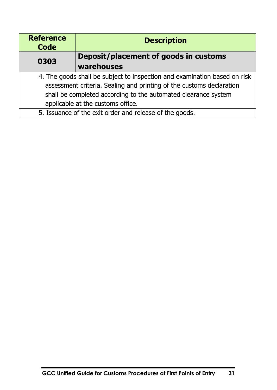| <b>Reference</b><br><b>Code</b>                                           | <b>Description</b>                    |
|---------------------------------------------------------------------------|---------------------------------------|
| 0303                                                                      | Deposit/placement of goods in customs |
|                                                                           | warehouses                            |
| 4. The goods shall be subject to inspection and examination based on risk |                                       |
| assessment criteria. Sealing and printing of the customs declaration      |                                       |
| shall be completed according to the automated clearance system            |                                       |
| applicable at the customs office.                                         |                                       |
| 5. Issuance of the exit order and release of the goods.                   |                                       |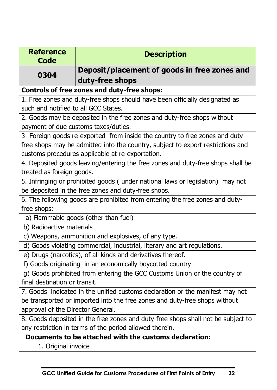| <b>Reference</b><br>Code                                                         | <b>Description</b>                                                              |  |
|----------------------------------------------------------------------------------|---------------------------------------------------------------------------------|--|
| 0304                                                                             | Deposit/placement of goods in free zones and                                    |  |
|                                                                                  | duty-free shops                                                                 |  |
| <b>Controls of free zones and duty-free shops:</b>                               |                                                                                 |  |
| 1. Free zones and duty-free shops should have been officially designated as      |                                                                                 |  |
| such and notified to all GCC States.                                             |                                                                                 |  |
|                                                                                  | 2. Goods may be deposited in the free zones and duty-free shops without         |  |
|                                                                                  | payment of due customs taxes/duties.                                            |  |
|                                                                                  | 3- Foreign goods re-exported from inside the country to free zones and duty-    |  |
|                                                                                  | free shops may be admitted into the country, subject to export restrictions and |  |
| customs procedures applicable at re-exportation.                                 |                                                                                 |  |
| 4. Deposited goods leaving/entering the free zones and duty-free shops shall be  |                                                                                 |  |
| treated as foreign goods.                                                        |                                                                                 |  |
| 5. Infringing or prohibited goods (under national laws or legislation) may not   |                                                                                 |  |
| be deposited in the free zones and duty-free shops.                              |                                                                                 |  |
| 6. The following goods are prohibited from entering the free zones and duty-     |                                                                                 |  |
| free shops:                                                                      |                                                                                 |  |
|                                                                                  | a) Flammable goods (other than fuel)                                            |  |
| b) Radioactive materials                                                         |                                                                                 |  |
| c) Weapons, ammunition and explosives, of any type.                              |                                                                                 |  |
| d) Goods violating commercial, industrial, literary and art regulations.         |                                                                                 |  |
| e) Drugs (narcotics), of all kinds and derivatives thereof.                      |                                                                                 |  |
| f) Goods originating in an economically boycotted country.                       |                                                                                 |  |
| g) Goods prohibited from entering the GCC Customs Union or the country of        |                                                                                 |  |
| final destination or transit.                                                    |                                                                                 |  |
| 7. Goods indicated in the unified customs declaration or the manifest may not    |                                                                                 |  |
| be transported or imported into the free zones and duty-free shops without       |                                                                                 |  |
| approval of the Director General.                                                |                                                                                 |  |
| 8. Goods deposited in the free zones and duty-free shops shall not be subject to |                                                                                 |  |
| any restriction in terms of the period allowed therein.                          |                                                                                 |  |
| Documents to be attached with the customs declaration:                           |                                                                                 |  |
| 1. Original invoice                                                              |                                                                                 |  |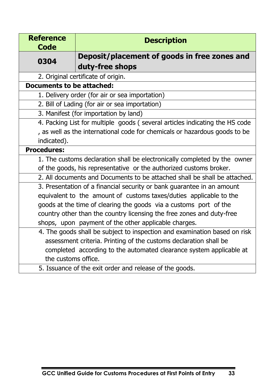| <b>Reference</b><br><b>Code</b>                                             | <b>Description</b>                                                        |  |
|-----------------------------------------------------------------------------|---------------------------------------------------------------------------|--|
| 0304                                                                        | Deposit/placement of goods in free zones and                              |  |
|                                                                             | duty-free shops                                                           |  |
| 2. Original certificate of origin.                                          |                                                                           |  |
| <b>Documents to be attached:</b>                                            |                                                                           |  |
| 1. Delivery order (for air or sea importation)                              |                                                                           |  |
| 2. Bill of Lading (for air or sea importation)                              |                                                                           |  |
| 3. Manifest (for importation by land)                                       |                                                                           |  |
| 4. Packing List for multiple goods (several articles indicating the HS code |                                                                           |  |
| , as well as the international code for chemicals or hazardous goods to be  |                                                                           |  |
| indicated).                                                                 |                                                                           |  |
| <b>Procedures:</b>                                                          |                                                                           |  |
|                                                                             | 1. The customs declaration shall be electronically completed by the owner |  |
|                                                                             | of the goods, his representative or the authorized customs broker.        |  |
|                                                                             | 2. All documents and Documents to be attached shall be shall be attached. |  |
|                                                                             | 3. Presentation of a financial security or bank guarantee in an amount    |  |
| equivalent to the amount of customs taxes/duties applicable to the          |                                                                           |  |
| goods at the time of clearing the goods via a customs port of the           |                                                                           |  |
| country other than the country licensing the free zones and duty-free       |                                                                           |  |
| shops, upon payment of the other applicable charges.                        |                                                                           |  |
| 4. The goods shall be subject to inspection and examination based on risk   |                                                                           |  |
|                                                                             | assessment criteria. Printing of the customs declaration shall be         |  |
|                                                                             | completed according to the automated clearance system applicable at       |  |
| the customs office.                                                         |                                                                           |  |
| 5. Issuance of the exit order and release of the goods.                     |                                                                           |  |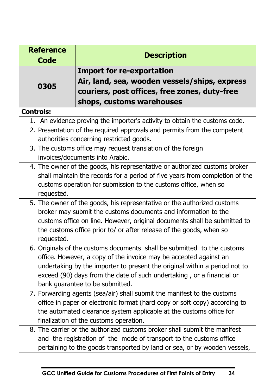| <b>Reference</b><br><b>Code</b>                                                                                                                                                                                                                                                                                                        | <b>Description</b>                                                                                                   |
|----------------------------------------------------------------------------------------------------------------------------------------------------------------------------------------------------------------------------------------------------------------------------------------------------------------------------------------|----------------------------------------------------------------------------------------------------------------------|
|                                                                                                                                                                                                                                                                                                                                        | <b>Import for re-exportation</b>                                                                                     |
| 0305                                                                                                                                                                                                                                                                                                                                   | Air, land, sea, wooden vessels/ships, express                                                                        |
|                                                                                                                                                                                                                                                                                                                                        | couriers, post offices, free zones, duty-free                                                                        |
|                                                                                                                                                                                                                                                                                                                                        | shops, customs warehouses                                                                                            |
| <b>Controls:</b>                                                                                                                                                                                                                                                                                                                       |                                                                                                                      |
| 1.                                                                                                                                                                                                                                                                                                                                     | An evidence proving the importer's activity to obtain the customs code.                                              |
|                                                                                                                                                                                                                                                                                                                                        | 2. Presentation of the required approvals and permits from the competent<br>authorities concerning restricted goods. |
|                                                                                                                                                                                                                                                                                                                                        | 3. The customs office may request translation of the foreign<br>invoices/documents into Arabic.                      |
| 4. The owner of the goods, his representative or authorized customs broker<br>shall maintain the records for a period of five years from completion of the<br>customs operation for submission to the customs office, when so<br>requested.                                                                                            |                                                                                                                      |
| 5. The owner of the goods, his representative or the authorized customs<br>broker may submit the customs documents and information to the<br>customs office on line. However, original documents shall be submitted to<br>the customs office prior to/ or after release of the goods, when so<br>requested.                            |                                                                                                                      |
| 6. Originals of the customs documents shall be submitted to the customs<br>office. However, a copy of the invoice may be accepted against an<br>undertaking by the importer to present the original within a period not to<br>exceed (90) days from the date of such undertaking, or a financial or<br>bank guarantee to be submitted. |                                                                                                                      |
| 7. Forwarding agents (sea/air) shall submit the manifest to the customs<br>office in paper or electronic format (hard copy or soft copy) according to<br>the automated clearance system applicable at the customs office for<br>finalization of the customs operation.                                                                 |                                                                                                                      |
| 8. The carrier or the authorized customs broker shall submit the manifest<br>and the registration of the mode of transport to the customs office<br>pertaining to the goods transported by land or sea, or by wooden vessels,                                                                                                          |                                                                                                                      |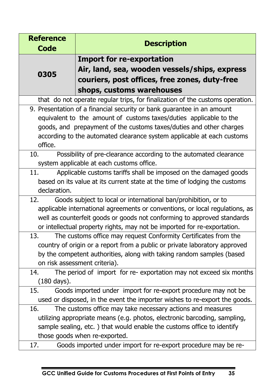| <b>Reference</b>                                                             | <b>Description</b>                                                            |  |
|------------------------------------------------------------------------------|-------------------------------------------------------------------------------|--|
| <b>Code</b>                                                                  |                                                                               |  |
|                                                                              | <b>Import for re-exportation</b>                                              |  |
|                                                                              | Air, land, sea, wooden vessels/ships, express                                 |  |
| 0305                                                                         | couriers, post offices, free zones, duty-free                                 |  |
|                                                                              | shops, customs warehouses                                                     |  |
|                                                                              | that do not operate regular trips, for finalization of the customs operation. |  |
| 9. Presentation of a financial security or bank guarantee in an amount       |                                                                               |  |
|                                                                              | equivalent to the amount of customs taxes/duties applicable to the            |  |
|                                                                              | goods, and prepayment of the customs taxes/duties and other charges           |  |
|                                                                              | according to the automated clearance system applicable at each customs        |  |
| office.                                                                      |                                                                               |  |
| Possibility of pre-clearance according to the automated clearance<br>10.     |                                                                               |  |
| system applicable at each customs office.                                    |                                                                               |  |
| Applicable customs tariffs shall be imposed on the damaged goods<br>11.      |                                                                               |  |
|                                                                              | based on its value at its current state at the time of lodging the customs    |  |
| declaration.                                                                 |                                                                               |  |
| 12.                                                                          | Goods subject to local or international ban/prohibition, or to                |  |
| applicable international agreements or conventions, or local regulations, as |                                                                               |  |
|                                                                              | well as counterfeit goods or goods not conforming to approved standards       |  |
|                                                                              | or intellectual property rights, may not be imported for re-exportation.      |  |
| 13.                                                                          | The customs office may request Conformity Certificates from the               |  |
|                                                                              | country of origin or a report from a public or private laboratory approved    |  |
|                                                                              | by the competent authorities, along with taking random samples (based         |  |
| on risk assessment criteria).                                                |                                                                               |  |
| 14.                                                                          | The period of import for re-exportation may not exceed six months             |  |
| (180 days).                                                                  |                                                                               |  |
| 15.                                                                          | Goods imported under import for re-export procedure may not be                |  |
| used or disposed, in the event the importer wishes to re-export the goods.   |                                                                               |  |
| 16.                                                                          | The customs office may take necessary actions and measures                    |  |
|                                                                              | utilizing appropriate means (e.g. photos, electronic barcoding, sampling,     |  |
| sample sealing, etc.) that would enable the customs office to identify       |                                                                               |  |
| those goods when re-exported.                                                |                                                                               |  |
| 17.                                                                          | Goods imported under import for re-export procedure may be re-                |  |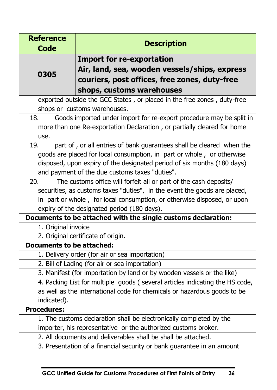| <b>Reference</b>                                                            | <b>Description</b>                                                           |  |
|-----------------------------------------------------------------------------|------------------------------------------------------------------------------|--|
| <b>Code</b>                                                                 |                                                                              |  |
|                                                                             | <b>Import for re-exportation</b>                                             |  |
| 0305                                                                        | Air, land, sea, wooden vessels/ships, express                                |  |
|                                                                             | couriers, post offices, free zones, duty-free                                |  |
|                                                                             | shops, customs warehouses                                                    |  |
|                                                                             | exported outside the GCC States, or placed in the free zones, duty-free      |  |
| shops or customs warehouses.                                                |                                                                              |  |
| Goods imported under import for re-export procedure may be split in<br>18.  |                                                                              |  |
|                                                                             | more than one Re-exportation Declaration, or partially cleared for home      |  |
| use.                                                                        |                                                                              |  |
| part of, or all entries of bank guarantees shall be cleared when the<br>19. |                                                                              |  |
| goods are placed for local consumption, in part or whole, or otherwise      |                                                                              |  |
|                                                                             | disposed, upon expiry of the designated period of six months (180 days)      |  |
| and payment of the due customs taxes "duties".                              |                                                                              |  |
| 20.                                                                         | The customs office will forfeit all or part of the cash deposits/            |  |
|                                                                             | securities, as customs taxes "duties", in the event the goods are placed,    |  |
|                                                                             | in part or whole, for local consumption, or otherwise disposed, or upon      |  |
|                                                                             | expiry of the designated period (180 days).                                  |  |
|                                                                             | Documents to be attached with the single customs declaration:                |  |
| 1. Original invoice                                                         |                                                                              |  |
|                                                                             | 2. Original certificate of origin.                                           |  |
| <b>Documents to be attached:</b>                                            |                                                                              |  |
|                                                                             | 1. Delivery order (for air or sea importation)                               |  |
|                                                                             | 2. Bill of Lading (for air or sea importation)                               |  |
|                                                                             | 3. Manifest (for importation by land or by wooden vessels or the like)       |  |
|                                                                             | 4. Packing List for multiple goods (several articles indicating the HS code, |  |
| as well as the international code for chemicals or hazardous goods to be    |                                                                              |  |
| indicated).                                                                 |                                                                              |  |
| <b>Procedures:</b>                                                          |                                                                              |  |
|                                                                             | 1. The customs declaration shall be electronically completed by the          |  |
|                                                                             | importer, his representative or the authorized customs broker.               |  |
| 2. All documents and deliverables shall be shall be attached.               |                                                                              |  |
| 3. Presentation of a financial security or bank guarantee in an amount      |                                                                              |  |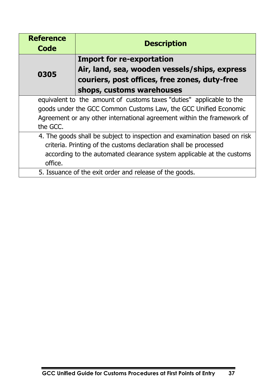| <b>Reference</b><br>Code                                                  | <b>Description</b>                                                                             |  |
|---------------------------------------------------------------------------|------------------------------------------------------------------------------------------------|--|
|                                                                           | <b>Import for re-exportation</b>                                                               |  |
| 0305                                                                      | Air, land, sea, wooden vessels/ships, express<br>couriers, post offices, free zones, duty-free |  |
|                                                                           | shops, customs warehouses                                                                      |  |
|                                                                           | equivalent to the amount of customs taxes "duties" applicable to the                           |  |
|                                                                           | goods under the GCC Common Customs Law, the GCC Unified Economic                               |  |
|                                                                           | Agreement or any other international agreement within the framework of                         |  |
| the GCC.                                                                  |                                                                                                |  |
| 4. The goods shall be subject to inspection and examination based on risk |                                                                                                |  |
| criteria. Printing of the customs declaration shall be processed          |                                                                                                |  |
| according to the automated clearance system applicable at the customs     |                                                                                                |  |
| office.                                                                   |                                                                                                |  |
|                                                                           | 5. Issuance of the exit order and release of the goods.                                        |  |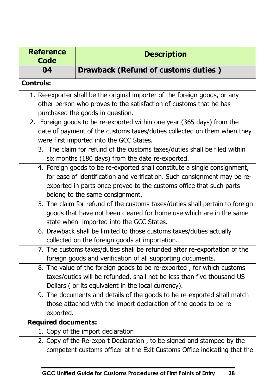| <b>Reference</b><br><b>Code</b>                                        | <b>Description</b>                                                                                     |  |
|------------------------------------------------------------------------|--------------------------------------------------------------------------------------------------------|--|
| 04                                                                     | <b>Drawback (Refund of customs duties)</b>                                                             |  |
| <b>Controls:</b>                                                       |                                                                                                        |  |
|                                                                        | 1. Re-exporter shall be the original importer of the foreign goods, or any                             |  |
| other person who proves to the satisfaction of customs that he has     |                                                                                                        |  |
|                                                                        | purchased the goods in question.                                                                       |  |
|                                                                        | 2. Foreign goods to be re-exported within one year (365 days) from the                                 |  |
|                                                                        | date of payment of the customs taxes/duties collected on them when they                                |  |
|                                                                        | were first imported into the GCC States.                                                               |  |
|                                                                        | 3. The claim for refund of the customs taxes/duties shall be filed within                              |  |
|                                                                        | six months (180 days) from the date re-exported.                                                       |  |
|                                                                        | 4. Foreign goods to be re-exported shall constitute a single consignment,                              |  |
|                                                                        | for ease of identification and verification. Such consignment may be re-                               |  |
|                                                                        | exported in parts once proved to the customs office that such parts<br>belong to the same consignment. |  |
|                                                                        | 5. The claim for refund of the customs taxes/duties shall pertain to foreign                           |  |
|                                                                        | goods that have not been cleared for home use which are in the same                                    |  |
| state when imported into the GCC States.                               |                                                                                                        |  |
|                                                                        | 6. Drawback shall be limited to those customs taxes/duties actually                                    |  |
|                                                                        | collected on the foreign goods at importation.                                                         |  |
|                                                                        | 7. The customs taxes/duties shall be refunded after re-exportation of the                              |  |
|                                                                        | foreign goods and verification of all supporting documents.                                            |  |
| 8. The value of the foreign goods to be re-exported, for which customs |                                                                                                        |  |
| taxes/duties will be refunded, shall not be less than five thousand US |                                                                                                        |  |
| Dollars (or its equivalent in the local currency).                     |                                                                                                        |  |
|                                                                        | 9. The documents and details of the goods to be re-exported shall match                                |  |
|                                                                        | those attached with the import declaration of the goods to be re-                                      |  |
| exported.                                                              |                                                                                                        |  |
| <b>Required documents:</b>                                             |                                                                                                        |  |
|                                                                        | 1. Copy of the import declaration                                                                      |  |
|                                                                        | 2. Copy of the Re-export Declaration, to be signed and stamped by the                                  |  |
|                                                                        | competent customs officer at the Exit Customs Office indicating that the                               |  |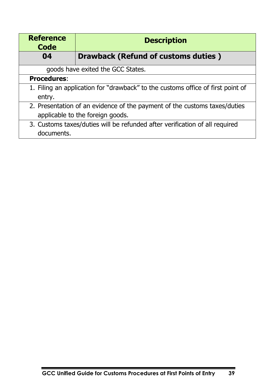| <b>Reference</b><br><b>Code</b>                                                                               | <b>Description</b>                  |
|---------------------------------------------------------------------------------------------------------------|-------------------------------------|
| 04                                                                                                            | Drawback (Refund of customs duties) |
|                                                                                                               | goods have exited the GCC States.   |
| <b>Procedures:</b>                                                                                            |                                     |
| 1. Filing an application for "drawback" to the customs office of first point of<br>entry.                     |                                     |
| 2. Presentation of an evidence of the payment of the customs taxes/duties<br>applicable to the foreign goods. |                                     |
| 3. Customs taxes/duties will be refunded after verification of all required<br>documents.                     |                                     |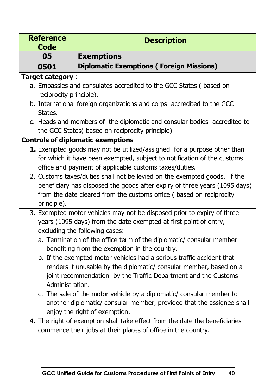| <b>Reference</b>                                                      | <b>Description</b>                                                                                                    |  |  |
|-----------------------------------------------------------------------|-----------------------------------------------------------------------------------------------------------------------|--|--|
| <b>Code</b><br>05                                                     | <b>Exemptions</b>                                                                                                     |  |  |
| 0501                                                                  | <b>Diplomatic Exemptions (Foreign Missions)</b>                                                                       |  |  |
| <b>Target category:</b>                                               |                                                                                                                       |  |  |
|                                                                       | a. Embassies and consulates accredited to the GCC States (based on                                                    |  |  |
| reciprocity principle).                                               |                                                                                                                       |  |  |
|                                                                       | b. International foreign organizations and corps accredited to the GCC                                                |  |  |
| States.                                                               |                                                                                                                       |  |  |
|                                                                       | c. Heads and members of the diplomatic and consular bodies accredited to                                              |  |  |
|                                                                       | the GCC States( based on reciprocity principle).                                                                      |  |  |
|                                                                       | <b>Controls of diplomatic exemptions</b>                                                                              |  |  |
|                                                                       | 1. Exempted goods may not be utilized/assigned for a purpose other than                                               |  |  |
|                                                                       | for which it have been exempted, subject to notification of the customs                                               |  |  |
|                                                                       | office and payment of applicable customs taxes/duties.                                                                |  |  |
|                                                                       | 2. Customs taxes/duties shall not be levied on the exempted goods, if the                                             |  |  |
|                                                                       | beneficiary has disposed the goods after expiry of three years (1095 days)                                            |  |  |
|                                                                       | from the date cleared from the customs office (based on reciprocity                                                   |  |  |
| principle).                                                           |                                                                                                                       |  |  |
|                                                                       | 3. Exempted motor vehicles may not be disposed prior to expiry of three                                               |  |  |
|                                                                       | years (1095 days) from the date exempted at first point of entry,                                                     |  |  |
|                                                                       | excluding the following cases:                                                                                        |  |  |
|                                                                       | a. Termination of the office term of the diplomatic/ consular member<br>benefiting from the exemption in the country. |  |  |
| b. If the exempted motor vehicles had a serious traffic accident that |                                                                                                                       |  |  |
|                                                                       | renders it unusable by the diplomatic/ consular member, based on a                                                    |  |  |
|                                                                       | joint recommendation by the Traffic Department and the Customs                                                        |  |  |
|                                                                       | Administration.                                                                                                       |  |  |
|                                                                       | c. The sale of the motor vehicle by a diplomatic/ consular member to                                                  |  |  |
|                                                                       | another diplomatic/ consular member, provided that the assignee shall                                                 |  |  |
|                                                                       | enjoy the right of exemption.                                                                                         |  |  |
|                                                                       | 4. The right of exemption shall take effect from the date the beneficiaries                                           |  |  |
|                                                                       | commence their jobs at their places of office in the country.                                                         |  |  |
|                                                                       |                                                                                                                       |  |  |
|                                                                       |                                                                                                                       |  |  |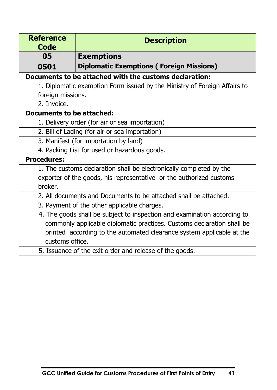| <b>Reference</b><br>Code                                                  | <b>Description</b>                                                       |  |
|---------------------------------------------------------------------------|--------------------------------------------------------------------------|--|
| 05                                                                        | <b>Exemptions</b>                                                        |  |
| 0501                                                                      | <b>Diplomatic Exemptions (Foreign Missions)</b>                          |  |
| Documents to be attached with the customs declaration:                    |                                                                          |  |
| 1. Diplomatic exemption Form issued by the Ministry of Foreign Affairs to |                                                                          |  |
| foreign missions.                                                         |                                                                          |  |
| 2. Invoice.                                                               |                                                                          |  |
| Documents to be attached:                                                 |                                                                          |  |
|                                                                           | 1. Delivery order (for air or sea importation)                           |  |
|                                                                           | 2. Bill of Lading (for air or sea importation)                           |  |
|                                                                           | 3. Manifest (for importation by land)                                    |  |
| 4. Packing List for used or hazardous goods.                              |                                                                          |  |
| <b>Procedures:</b>                                                        |                                                                          |  |
|                                                                           | 1. The customs declaration shall be electronically completed by the      |  |
| exporter of the goods, his representative or the authorized customs       |                                                                          |  |
| broker.                                                                   |                                                                          |  |
| 2. All documents and Documents to be attached shall be attached.          |                                                                          |  |
|                                                                           | 3. Payment of the other applicable charges.                              |  |
|                                                                           | 4. The goods shall be subject to inspection and examination according to |  |
|                                                                           | commonly applicable diplomatic practices. Customs declaration shall be   |  |
|                                                                           | printed according to the automated clearance system applicable at the    |  |
|                                                                           | customs office.                                                          |  |
| 5. Issuance of the exit order and release of the goods.                   |                                                                          |  |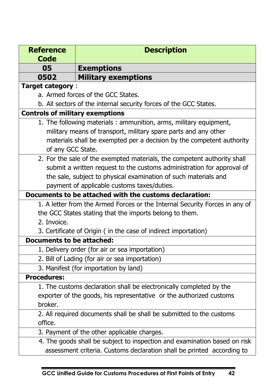| <b>Reference</b>                                                       | <b>Description</b>                                                          |  |
|------------------------------------------------------------------------|-----------------------------------------------------------------------------|--|
| <b>Code</b>                                                            |                                                                             |  |
| 05                                                                     | <b>Exemptions</b>                                                           |  |
| 0502                                                                   | <b>Military exemptions</b>                                                  |  |
| <b>Target category:</b>                                                |                                                                             |  |
|                                                                        | a. Armed forces of the GCC States.                                          |  |
| b. All sectors of the internal security forces of the GCC States.      |                                                                             |  |
| <b>Controls of military exemptions</b>                                 |                                                                             |  |
|                                                                        | 1. The following materials: ammunition, arms, military equipment,           |  |
|                                                                        | military means of transport, military spare parts and any other             |  |
|                                                                        | materials shall be exempted per a decision by the competent authority       |  |
| of any GCC State.                                                      |                                                                             |  |
|                                                                        | 2. For the sale of the exempted materials, the competent authority shall    |  |
|                                                                        | submit a written request to the customs administration for approval of      |  |
|                                                                        | the sale, subject to physical examination of such materials and             |  |
|                                                                        | payment of applicable customs taxes/duties.                                 |  |
|                                                                        | Documents to be attached with the customs declaration:                      |  |
|                                                                        | 1. A letter from the Armed Forces or the Internal Security Forces in any of |  |
|                                                                        | the GCC States stating that the imports belong to them.                     |  |
| 2. Invoice.                                                            |                                                                             |  |
|                                                                        | 3. Certificate of Origin (in the case of indirect importation)              |  |
| <b>Documents to be attached:</b>                                       |                                                                             |  |
|                                                                        | 1. Delivery order (for air or sea importation)                              |  |
|                                                                        | 2. Bill of Lading (for air or sea importation)                              |  |
|                                                                        | 3. Manifest (for importation by land)                                       |  |
| <b>Procedures:</b>                                                     |                                                                             |  |
|                                                                        | 1. The customs declaration shall be electronically completed by the         |  |
| exporter of the goods, his representative or the authorized customs    |                                                                             |  |
| broker.                                                                |                                                                             |  |
| 2. All required documents shall be shall be submitted to the customs   |                                                                             |  |
| office.                                                                |                                                                             |  |
|                                                                        | 3. Payment of the other applicable charges.                                 |  |
|                                                                        | 4. The goods shall be subject to inspection and examination based on risk   |  |
| assessment criteria. Customs declaration shall be printed according to |                                                                             |  |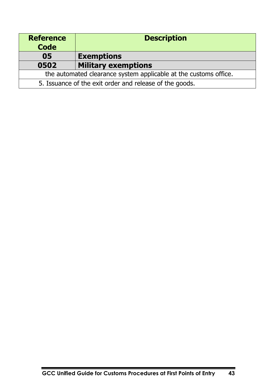| <b>Reference</b><br><b>Code</b>                                  | <b>Description</b>         |
|------------------------------------------------------------------|----------------------------|
| 05                                                               | <b>Exemptions</b>          |
| 0502                                                             | <b>Military exemptions</b> |
| the automated clearance system applicable at the customs office. |                            |
| 5. Issuance of the exit order and release of the goods.          |                            |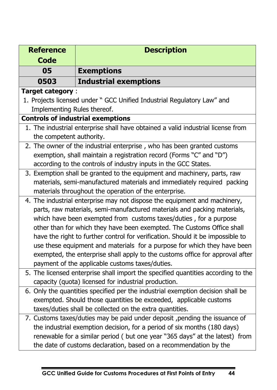| <b>Reference</b>                                                                                                                     | <b>Description</b>                                                               |  |  |
|--------------------------------------------------------------------------------------------------------------------------------------|----------------------------------------------------------------------------------|--|--|
| <b>Code</b>                                                                                                                          |                                                                                  |  |  |
| 05                                                                                                                                   | <b>Exemptions</b>                                                                |  |  |
| 0503                                                                                                                                 | <b>Industrial exemptions</b>                                                     |  |  |
|                                                                                                                                      | <b>Target category:</b>                                                          |  |  |
|                                                                                                                                      | 1. Projects licensed under " GCC Unified Industrial Regulatory Law" and          |  |  |
| Implementing Rules thereof.                                                                                                          |                                                                                  |  |  |
|                                                                                                                                      | <b>Controls of industrial exemptions</b>                                         |  |  |
|                                                                                                                                      | 1. The industrial enterprise shall have obtained a valid industrial license from |  |  |
| the competent authority.                                                                                                             |                                                                                  |  |  |
|                                                                                                                                      | 2. The owner of the industrial enterprise, who has been granted customs          |  |  |
|                                                                                                                                      | exemption, shall maintain a registration record (Forms "C" and "D")              |  |  |
|                                                                                                                                      | according to the controls of industry inputs in the GCC States.                  |  |  |
|                                                                                                                                      | 3. Exemption shall be granted to the equipment and machinery, parts, raw         |  |  |
|                                                                                                                                      | materials, semi-manufactured materials and immediately required packing          |  |  |
|                                                                                                                                      | materials throughout the operation of the enterprise.                            |  |  |
|                                                                                                                                      | 4. The industrial enterprise may not dispose the equipment and machinery,        |  |  |
|                                                                                                                                      | parts, raw materials, semi-manufactured materials and packing materials,         |  |  |
|                                                                                                                                      | which have been exempted from customs taxes/duties, for a purpose                |  |  |
|                                                                                                                                      | other than for which they have been exempted. The Customs Office shall           |  |  |
|                                                                                                                                      | have the right to further control for verification. Should it be impossible to   |  |  |
|                                                                                                                                      | use these equipment and materials for a purpose for which they have been         |  |  |
| exempted, the enterprise shall apply to the customs office for approval after                                                        |                                                                                  |  |  |
| payment of the applicable customs taxes/duties.<br>5. The licensed enterprise shall import the specified quantities according to the |                                                                                  |  |  |
| capacity (quota) licensed for industrial production.                                                                                 |                                                                                  |  |  |
|                                                                                                                                      | 6. Only the quantities specified per the industrial exemption decision shall be  |  |  |
|                                                                                                                                      | exempted. Should those quantities be exceeded, applicable customs                |  |  |
|                                                                                                                                      | taxes/duties shall be collected on the extra quantities.                         |  |  |
|                                                                                                                                      | 7. Customs taxes/duties may be paid under deposit, pending the issuance of       |  |  |
|                                                                                                                                      | the industrial exemption decision, for a period of six months (180 days)         |  |  |
|                                                                                                                                      | renewable for a similar period (but one year "365 days" at the latest) from      |  |  |
|                                                                                                                                      | the date of customs declaration, based on a recommendation by the                |  |  |
|                                                                                                                                      |                                                                                  |  |  |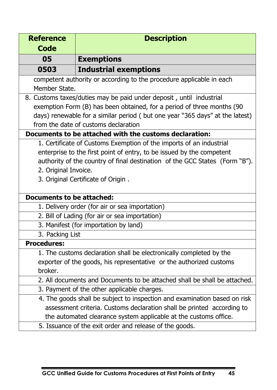| <b>Reference</b>                                                            | <b>Description</b>                                                           |  |
|-----------------------------------------------------------------------------|------------------------------------------------------------------------------|--|
| <b>Code</b>                                                                 |                                                                              |  |
| 05                                                                          | <b>Exemptions</b>                                                            |  |
| 0503                                                                        | <b>Industrial exemptions</b>                                                 |  |
|                                                                             | competent authority or according to the procedure applicable in each         |  |
|                                                                             | Member State.                                                                |  |
| 8. Customs taxes/duties may be paid under deposit, until industrial         |                                                                              |  |
|                                                                             | exemption Form (B) has been obtained, for a period of three months (90       |  |
|                                                                             | days) renewable for a similar period (but one year "365 days" at the latest) |  |
|                                                                             | from the date of customs declaration                                         |  |
|                                                                             | Documents to be attached with the customs declaration:                       |  |
|                                                                             | 1. Certificate of Customs Exemption of the imports of an industrial          |  |
|                                                                             | enterprise to the first point of entry, to be issued by the competent        |  |
| authority of the country of final destination of the GCC States (Form "B"). |                                                                              |  |
| 2. Original Invoice.                                                        |                                                                              |  |
|                                                                             | 3. Original Certificate of Origin.                                           |  |
|                                                                             |                                                                              |  |
| <b>Documents to be attached:</b>                                            |                                                                              |  |
|                                                                             | 1. Delivery order (for air or sea importation)                               |  |
|                                                                             | 2. Bill of Lading (for air or sea importation)                               |  |
| 3. Manifest (for importation by land)                                       |                                                                              |  |
| 3. Packing List                                                             |                                                                              |  |
| <b>Procedures:</b>                                                          |                                                                              |  |
|                                                                             | 1. The customs declaration shall be electronically completed by the          |  |
| exporter of the goods, his representative or the authorized customs         |                                                                              |  |
| broker.                                                                     |                                                                              |  |
| 2. All documents and Documents to be attached shall be shall be attached.   |                                                                              |  |
|                                                                             | 3. Payment of the other applicable charges.                                  |  |
|                                                                             | 4. The goods shall be subject to inspection and examination based on risk    |  |
|                                                                             | assessment criteria. Customs declaration shall be printed according to       |  |
| the automated clearance system applicable at the customs office.            |                                                                              |  |
|                                                                             | 5. Issuance of the exit order and release of the goods.                      |  |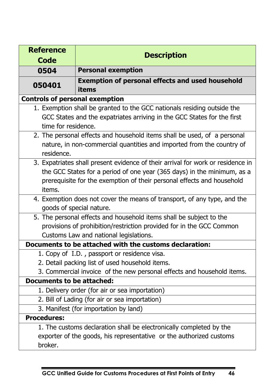| <b>Reference</b>                                                    |                                                                                 |  |  |
|---------------------------------------------------------------------|---------------------------------------------------------------------------------|--|--|
| <b>Code</b>                                                         | <b>Description</b>                                                              |  |  |
| 0504                                                                | <b>Personal exemption</b>                                                       |  |  |
| 050401                                                              | <b>Exemption of personal effects and used household</b>                         |  |  |
|                                                                     | items                                                                           |  |  |
| <b>Controls of personal exemption</b>                               |                                                                                 |  |  |
|                                                                     | 1. Exemption shall be granted to the GCC nationals residing outside the         |  |  |
|                                                                     | GCC States and the expatriates arriving in the GCC States for the first         |  |  |
| time for residence.                                                 |                                                                                 |  |  |
|                                                                     | 2. The personal effects and household items shall be used, of a personal        |  |  |
|                                                                     | nature, in non-commercial quantities and imported from the country of           |  |  |
| residence.                                                          |                                                                                 |  |  |
|                                                                     | 3. Expatriates shall present evidence of their arrival for work or residence in |  |  |
|                                                                     | the GCC States for a period of one year (365 days) in the minimum, as a         |  |  |
|                                                                     | prerequisite for the exemption of their personal effects and household          |  |  |
| items.                                                              |                                                                                 |  |  |
|                                                                     | 4. Exemption does not cover the means of transport, of any type, and the        |  |  |
| goods of special nature.                                            |                                                                                 |  |  |
|                                                                     | 5. The personal effects and household items shall be subject to the             |  |  |
|                                                                     | provisions of prohibition/restriction provided for in the GCC Common            |  |  |
|                                                                     | Customs Law and national legislations.                                          |  |  |
|                                                                     | Documents to be attached with the customs declaration:                          |  |  |
|                                                                     | 1. Copy of I.D., passport or residence visa.                                    |  |  |
|                                                                     | 2. Detail packing list of used household items.                                 |  |  |
|                                                                     | 3. Commercial invoice of the new personal effects and household items.          |  |  |
| <b>Documents to be attached:</b>                                    |                                                                                 |  |  |
|                                                                     | 1. Delivery order (for air or sea importation)                                  |  |  |
|                                                                     | 2. Bill of Lading (for air or sea importation)                                  |  |  |
|                                                                     | 3. Manifest (for importation by land)                                           |  |  |
| <b>Procedures:</b>                                                  |                                                                                 |  |  |
|                                                                     | 1. The customs declaration shall be electronically completed by the             |  |  |
| exporter of the goods, his representative or the authorized customs |                                                                                 |  |  |
| broker.                                                             |                                                                                 |  |  |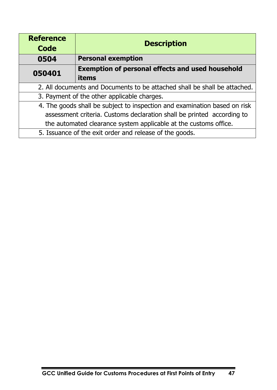| <b>Reference</b><br>Code                                                  | <b>Description</b>                                                        |
|---------------------------------------------------------------------------|---------------------------------------------------------------------------|
| 0504                                                                      | <b>Personal exemption</b>                                                 |
| 050401                                                                    | <b>Exemption of personal effects and used household</b>                   |
|                                                                           | items                                                                     |
|                                                                           | 2. All documents and Documents to be attached shall be shall be attached. |
| 3. Payment of the other applicable charges.                               |                                                                           |
| 4. The goods shall be subject to inspection and examination based on risk |                                                                           |
| assessment criteria. Customs declaration shall be printed according to    |                                                                           |
| the automated clearance system applicable at the customs office.          |                                                                           |
|                                                                           | 5. Issuance of the exit order and release of the goods.                   |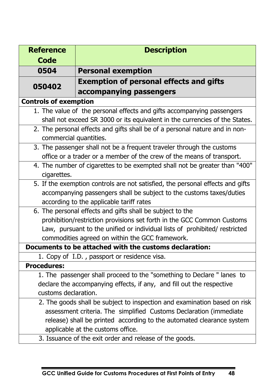| <b>Reference</b>                                                      | <b>Description</b>                                                             |  |  |
|-----------------------------------------------------------------------|--------------------------------------------------------------------------------|--|--|
| <b>Code</b>                                                           |                                                                                |  |  |
| 0504                                                                  | <b>Personal exemption</b>                                                      |  |  |
| 050402                                                                | <b>Exemption of personal effects and gifts</b>                                 |  |  |
|                                                                       | accompanying passengers                                                        |  |  |
| <b>Controls of exemption</b>                                          |                                                                                |  |  |
|                                                                       | 1. The value of the personal effects and gifts accompanying passengers         |  |  |
|                                                                       | shall not exceed SR 3000 or its equivalent in the currencies of the States.    |  |  |
|                                                                       | 2. The personal effects and gifts shall be of a personal nature and in non-    |  |  |
| commercial quantities.                                                |                                                                                |  |  |
|                                                                       | 3. The passenger shall not be a frequent traveler through the customs          |  |  |
|                                                                       | office or a trader or a member of the crew of the means of transport.          |  |  |
|                                                                       | 4. The number of cigarettes to be exempted shall not be greater than "400"     |  |  |
| cigarettes.                                                           |                                                                                |  |  |
|                                                                       | 5. If the exemption controls are not satisfied, the personal effects and gifts |  |  |
|                                                                       | accompanying passengers shall be subject to the customs taxes/duties           |  |  |
| according to the applicable tariff rates                              |                                                                                |  |  |
| 6. The personal effects and gifts shall be subject to the             |                                                                                |  |  |
|                                                                       | prohibition/restriction provisions set forth in the GCC Common Customs         |  |  |
|                                                                       | Law, pursuant to the unified or individual lists of prohibited/ restricted     |  |  |
| commodities agreed on within the GCC framework.                       |                                                                                |  |  |
|                                                                       | Documents to be attached with the customs declaration:                         |  |  |
|                                                                       | 1. Copy of I.D., passport or residence visa.                                   |  |  |
| <b>Procedures:</b>                                                    |                                                                                |  |  |
|                                                                       | 1. The passenger shall proceed to the "something to Declare " lanes to         |  |  |
| declare the accompanying effects, if any, and fill out the respective |                                                                                |  |  |
| customs declaration.                                                  |                                                                                |  |  |
|                                                                       | 2. The goods shall be subject to inspection and examination based on risk      |  |  |
|                                                                       | assessment criteria. The simplified Customs Declaration (immediate             |  |  |
| release) shall be printed according to the automated clearance system |                                                                                |  |  |
| applicable at the customs office.                                     |                                                                                |  |  |
|                                                                       | 3. Issuance of the exit order and release of the goods.                        |  |  |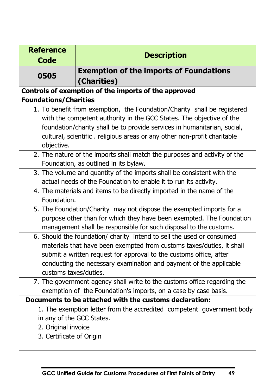| <b>Reference</b>                                                       | <b>Description</b>                                                        |  |  |
|------------------------------------------------------------------------|---------------------------------------------------------------------------|--|--|
| <b>Code</b>                                                            |                                                                           |  |  |
| 0505                                                                   | <b>Exemption of the imports of Foundations</b>                            |  |  |
|                                                                        | (Charities)                                                               |  |  |
|                                                                        | Controls of exemption of the imports of the approved                      |  |  |
| <b>Foundations/Charities</b>                                           |                                                                           |  |  |
|                                                                        | 1. To benefit from exemption, the Foundation/Charity shall be registered  |  |  |
|                                                                        | with the competent authority in the GCC States. The objective of the      |  |  |
|                                                                        | foundation/charity shall be to provide services in humanitarian, social,  |  |  |
|                                                                        | cultural, scientific. religious areas or any other non-profit charitable  |  |  |
| objective.                                                             |                                                                           |  |  |
|                                                                        | 2. The nature of the imports shall match the purposes and activity of the |  |  |
|                                                                        | Foundation, as outlined in its bylaw.                                     |  |  |
| 3. The volume and quantity of the imports shall be consistent with the |                                                                           |  |  |
| actual needs of the Foundation to enable it to run its activity.       |                                                                           |  |  |
|                                                                        | 4. The materials and items to be directly imported in the name of the     |  |  |
| Foundation.                                                            |                                                                           |  |  |
|                                                                        | 5. The Foundation/Charity may not dispose the exempted imports for a      |  |  |
|                                                                        | purpose other than for which they have been exempted. The Foundation      |  |  |
| management shall be responsible for such disposal to the customs.      |                                                                           |  |  |
|                                                                        | 6. Should the foundation/ charity intend to sell the used or consumed     |  |  |
|                                                                        | materials that have been exempted from customs taxes/duties, it shall     |  |  |
| submit a written request for approval to the customs office, after     |                                                                           |  |  |
| conducting the necessary examination and payment of the applicable     |                                                                           |  |  |
| customs taxes/duties.                                                  |                                                                           |  |  |
|                                                                        | 7. The government agency shall write to the customs office regarding the  |  |  |
|                                                                        | exemption of the Foundation's imports, on a case by case basis.           |  |  |
|                                                                        | Documents to be attached with the customs declaration:                    |  |  |
|                                                                        | 1. The exemption letter from the accredited competent government body     |  |  |
| in any of the GCC States.                                              |                                                                           |  |  |
| 2. Original invoice                                                    |                                                                           |  |  |
| 3. Certificate of Origin                                               |                                                                           |  |  |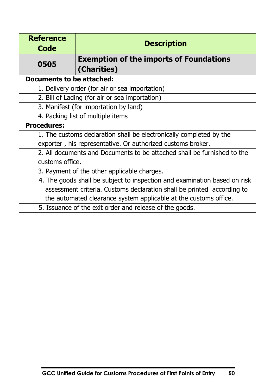| <b>Reference</b><br><b>Code</b>                                         | <b>Description</b>                                                        |  |
|-------------------------------------------------------------------------|---------------------------------------------------------------------------|--|
| 0505                                                                    | <b>Exemption of the imports of Foundations</b><br>(Charities)             |  |
| <b>Documents to be attached:</b>                                        |                                                                           |  |
|                                                                         | 1. Delivery order (for air or sea importation)                            |  |
|                                                                         | 2. Bill of Lading (for air or sea importation)                            |  |
|                                                                         | 3. Manifest (for importation by land)                                     |  |
| 4. Packing list of multiple items                                       |                                                                           |  |
| <b>Procedures:</b>                                                      |                                                                           |  |
| 1. The customs declaration shall be electronically completed by the     |                                                                           |  |
| exporter, his representative. Or authorized customs broker.             |                                                                           |  |
| 2. All documents and Documents to be attached shall be furnished to the |                                                                           |  |
| customs office.                                                         |                                                                           |  |
| 3. Payment of the other applicable charges.                             |                                                                           |  |
|                                                                         | 4. The goods shall be subject to inspection and examination based on risk |  |
| assessment criteria. Customs declaration shall be printed according to  |                                                                           |  |
|                                                                         | the automated clearance system applicable at the customs office.          |  |
|                                                                         | 5. Issuance of the exit order and release of the goods.                   |  |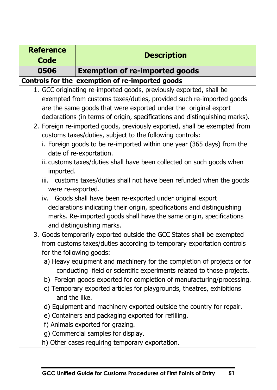| <b>Reference</b>                                                        | <b>Description</b>                                                          |  |
|-------------------------------------------------------------------------|-----------------------------------------------------------------------------|--|
| <b>Code</b>                                                             |                                                                             |  |
| 0506                                                                    | <b>Exemption of re-imported goods</b>                                       |  |
|                                                                         | Controls for the exemption of re-imported goods                             |  |
|                                                                         | 1. GCC originating re-imported goods, previously exported, shall be         |  |
|                                                                         | exempted from customs taxes/duties, provided such re-imported goods         |  |
| are the same goods that were exported under the original export         |                                                                             |  |
|                                                                         | declarations (in terms of origin, specifications and distinguishing marks). |  |
|                                                                         | 2. Foreign re-imported goods, previously exported, shall be exempted from   |  |
|                                                                         | customs taxes/duties, subject to the following controls:                    |  |
|                                                                         | i. Foreign goods to be re-imported within one year (365 days) from the      |  |
|                                                                         | date of re-exportation.                                                     |  |
|                                                                         | ii. customs taxes/duties shall have been collected on such goods when       |  |
|                                                                         | imported.                                                                   |  |
| iii. customs taxes/duties shall not have been refunded when the goods   |                                                                             |  |
| were re-exported.                                                       |                                                                             |  |
| iv. Goods shall have been re-exported under original export             |                                                                             |  |
| declarations indicating their origin, specifications and distinguishing |                                                                             |  |
| marks. Re-imported goods shall have the same origin, specifications     |                                                                             |  |
| and distinguishing marks.                                               |                                                                             |  |
|                                                                         | 3. Goods temporarily exported outside the GCC States shall be exempted      |  |
| from customs taxes/duties according to temporary exportation controls   |                                                                             |  |
| for the following goods:                                                |                                                                             |  |
| a) Heavy equipment and machinery for the completion of projects or for  |                                                                             |  |
|                                                                         | conducting field or scientific experiments related to those projects.       |  |
|                                                                         | b) Foreign goods exported for completion of manufacturing/processing.       |  |
| c) Temporary exported articles for playgrounds, theatres, exhibitions   |                                                                             |  |
| and the like.                                                           |                                                                             |  |
|                                                                         | d) Equipment and machinery exported outside the country for repair.         |  |
|                                                                         | e) Containers and packaging exported for refilling.                         |  |
|                                                                         | f) Animals exported for grazing.                                            |  |
|                                                                         | g) Commercial samples for display.                                          |  |
|                                                                         | h) Other cases requiring temporary exportation.                             |  |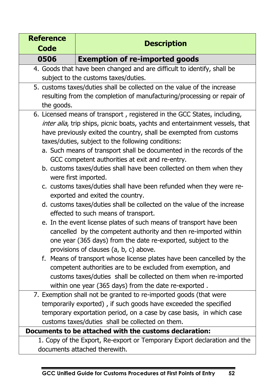| <b>Reference</b><br><b>Code</b>      | <b>Description</b>                                                                                                         |
|--------------------------------------|----------------------------------------------------------------------------------------------------------------------------|
| 0506                                 | <b>Exemption of re-imported goods</b>                                                                                      |
|                                      | 4. Goods that have been changed and are difficult to identify, shall be                                                    |
| subject to the customs taxes/duties. |                                                                                                                            |
|                                      | 5. customs taxes/duties shall be collected on the value of the increase                                                    |
|                                      | resulting from the completion of manufacturing/processing or repair of                                                     |
| the goods.                           |                                                                                                                            |
|                                      | 6. Licensed means of transport, registered in the GCC States, including,                                                   |
|                                      | inter alia, trip ships, picnic boats, yachts and entertainment vessels, that                                               |
|                                      | have previously exited the country, shall be exempted from customs                                                         |
|                                      | taxes/duties, subject to the following conditions:<br>a. Such means of transport shall be documented in the records of the |
|                                      | GCC competent authorities at exit and re-entry.                                                                            |
|                                      | b. customs taxes/duties shall have been collected on them when they                                                        |
|                                      | were first imported.                                                                                                       |
|                                      | c. customs taxes/duties shall have been refunded when they were re-                                                        |
|                                      | exported and exited the country.                                                                                           |
|                                      | d. customs taxes/duties shall be collected on the value of the increase                                                    |
|                                      | effected to such means of transport.                                                                                       |
|                                      | e. In the event license plates of such means of transport have been                                                        |
|                                      | cancelled by the competent authority and then re-imported within                                                           |
|                                      | one year (365 days) from the date re-exported, subject to the                                                              |
|                                      | provisions of clauses (a, b, c) above.<br>f. Means of transport whose license plates have been cancelled by the            |
|                                      | competent authorities are to be excluded from exemption, and                                                               |
|                                      | customs taxes/duties shall be collected on them when re-imported                                                           |
|                                      | within one year (365 days) from the date re-exported.                                                                      |
|                                      | 7. Exemption shall not be granted to re-imported goods (that were                                                          |
|                                      | temporarily exported), if such goods have exceeded the specified                                                           |
|                                      | temporary exportation period, on a case by case basis, in which case                                                       |
|                                      | customs taxes/duties shall be collected on them.                                                                           |
|                                      | Documents to be attached with the customs declaration:                                                                     |
|                                      | 1. Copy of the Export, Re-export or Temporary Export declaration and the                                                   |
|                                      | documents attached therewith.                                                                                              |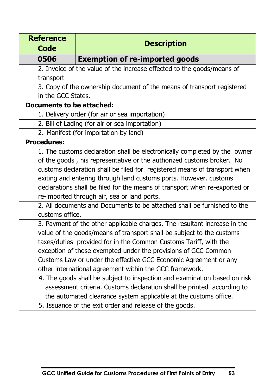| <b>Reference</b>                                                           | <b>Description</b>                                                        |  |  |
|----------------------------------------------------------------------------|---------------------------------------------------------------------------|--|--|
| <b>Code</b>                                                                |                                                                           |  |  |
| 0506                                                                       | <b>Exemption of re-imported goods</b>                                     |  |  |
| 2. Invoice of the value of the increase effected to the goods/means of     |                                                                           |  |  |
| transport                                                                  |                                                                           |  |  |
| 3. Copy of the ownership document of the means of transport registered     |                                                                           |  |  |
| in the GCC States.                                                         |                                                                           |  |  |
| <b>Documents to be attached:</b>                                           |                                                                           |  |  |
|                                                                            | 1. Delivery order (for air or sea importation)                            |  |  |
|                                                                            | 2. Bill of Lading (for air or sea importation)                            |  |  |
|                                                                            | 2. Manifest (for importation by land)                                     |  |  |
| <b>Procedures:</b>                                                         |                                                                           |  |  |
| 1. The customs declaration shall be electronically completed by the owner  |                                                                           |  |  |
| of the goods, his representative or the authorized customs broker. No      |                                                                           |  |  |
|                                                                            | customs declaration shall be filed for registered means of transport when |  |  |
| exiting and entering through land customs ports. However. customs          |                                                                           |  |  |
| declarations shall be filed for the means of transport when re-exported or |                                                                           |  |  |
|                                                                            | re-imported through air, sea or land ports.                               |  |  |
| 2. All documents and Documents to be attached shall be furnished to the    |                                                                           |  |  |
| customs office.                                                            |                                                                           |  |  |
| 3. Payment of the other applicable charges. The resultant increase in the  |                                                                           |  |  |
| value of the goods/means of transport shall be subject to the customs      |                                                                           |  |  |
|                                                                            | taxes/duties provided for in the Common Customs Tariff, with the          |  |  |
|                                                                            | exception of those exempted under the provisions of GCC Common            |  |  |
| Customs Law or under the effective GCC Economic Agreement or any           |                                                                           |  |  |
|                                                                            | other international agreement within the GCC framework.                   |  |  |
|                                                                            | 4. The goods shall be subject to inspection and examination based on risk |  |  |
|                                                                            | assessment criteria. Customs declaration shall be printed according to    |  |  |
| the automated clearance system applicable at the customs office.           |                                                                           |  |  |
|                                                                            | 5. Issuance of the exit order and release of the goods.                   |  |  |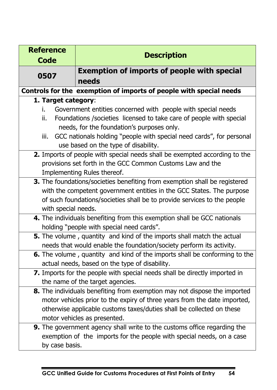| <b>Reference</b>                                                           | <b>Description</b>                                                                |  |
|----------------------------------------------------------------------------|-----------------------------------------------------------------------------------|--|
| <b>Code</b>                                                                |                                                                                   |  |
| 0507                                                                       | <b>Exemption of imports of people with special</b>                                |  |
|                                                                            | needs                                                                             |  |
|                                                                            | Controls for the exemption of imports of people with special needs                |  |
| 1. Target category:                                                        |                                                                                   |  |
| i.                                                                         | Government entities concerned with people with special needs                      |  |
| ii.                                                                        | Foundations / societies licensed to take care of people with special              |  |
|                                                                            | needs, for the foundation's purposes only.                                        |  |
| iii.                                                                       | GCC nationals holding "people with special need cards", for personal              |  |
|                                                                            | use based on the type of disability.                                              |  |
| 2. Imports of people with special needs shall be exempted according to the |                                                                                   |  |
|                                                                            | provisions set forth in the GCC Common Customs Law and the                        |  |
| Implementing Rules thereof.                                                |                                                                                   |  |
| 3. The foundations/societies benefiting from exemption shall be registered |                                                                                   |  |
| with the competent government entities in the GCC States. The purpose      |                                                                                   |  |
|                                                                            | of such foundations/societies shall be to provide services to the people          |  |
| with special needs.                                                        |                                                                                   |  |
|                                                                            | 4. The individuals benefiting from this exemption shall be GCC nationals          |  |
|                                                                            | holding "people with special need cards".                                         |  |
|                                                                            | 5. The volume, quantity and kind of the imports shall match the actual            |  |
|                                                                            | needs that would enable the foundation/society perform its activity.              |  |
|                                                                            | <b>6.</b> The volume, quantity and kind of the imports shall be conforming to the |  |
|                                                                            | actual needs, based on the type of disability.                                    |  |
|                                                                            | 7. Imports for the people with special needs shall be directly imported in        |  |
|                                                                            | the name of the target agencies.                                                  |  |
|                                                                            | 8. The individuals benefiting from exemption may not dispose the imported         |  |
|                                                                            | motor vehicles prior to the expiry of three years from the date imported,         |  |
| otherwise applicable customs taxes/duties shall be collected on these      |                                                                                   |  |
|                                                                            | motor vehicles as presented.                                                      |  |
|                                                                            | <b>9.</b> The government agency shall write to the customs office regarding the   |  |
|                                                                            | exemption of the imports for the people with special needs, on a case             |  |
| by case basis.                                                             |                                                                                   |  |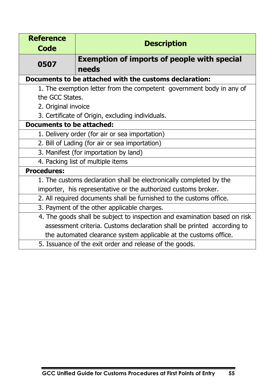| <b>Reference</b><br><b>Code</b>                                     | <b>Description</b>                                                        |  |
|---------------------------------------------------------------------|---------------------------------------------------------------------------|--|
| 0507                                                                | <b>Exemption of imports of people with special</b><br>needs               |  |
|                                                                     | Documents to be attached with the customs declaration:                    |  |
|                                                                     | 1. The exemption letter from the competent government body in any of      |  |
| the GCC States.                                                     |                                                                           |  |
|                                                                     | 2. Original invoice                                                       |  |
|                                                                     | 3. Certificate of Origin, excluding individuals.                          |  |
| <b>Documents to be attached:</b>                                    |                                                                           |  |
| 1. Delivery order (for air or sea importation)                      |                                                                           |  |
| 2. Bill of Lading (for air or sea importation)                      |                                                                           |  |
| 3. Manifest (for importation by land)                               |                                                                           |  |
| 4. Packing list of multiple items                                   |                                                                           |  |
| <b>Procedures:</b>                                                  |                                                                           |  |
|                                                                     | 1. The customs declaration shall be electronically completed by the       |  |
|                                                                     | importer, his representative or the authorized customs broker.            |  |
| 2. All required documents shall be furnished to the customs office. |                                                                           |  |
|                                                                     | 3. Payment of the other applicable charges.                               |  |
|                                                                     | 4. The goods shall be subject to inspection and examination based on risk |  |
|                                                                     | assessment criteria. Customs declaration shall be printed according to    |  |
|                                                                     | the automated clearance system applicable at the customs office.          |  |
|                                                                     | 5. Issuance of the exit order and release of the goods.                   |  |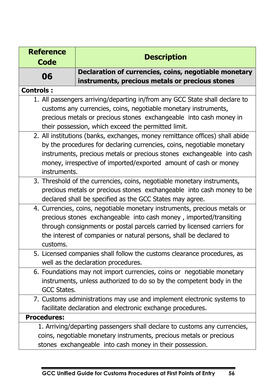| <b>Reference</b>                                                        | <b>Description</b>                                                           |  |  |
|-------------------------------------------------------------------------|------------------------------------------------------------------------------|--|--|
| <b>Code</b>                                                             |                                                                              |  |  |
| 06                                                                      | Declaration of currencies, coins, negotiable monetary                        |  |  |
|                                                                         | instruments, precious metals or precious stones                              |  |  |
| <b>Controls:</b>                                                        |                                                                              |  |  |
|                                                                         | 1. All passengers arriving/departing in/from any GCC State shall declare to  |  |  |
|                                                                         | customs any currencies, coins, negotiable monetary instruments,              |  |  |
|                                                                         | precious metals or precious stones exchangeable into cash money in           |  |  |
|                                                                         | their possession, which exceed the permitted limit.                          |  |  |
|                                                                         | 2. All institutions (banks, exchanges, money remittance offices) shall abide |  |  |
| by the procedures for declaring currencies, coins, negotiable monetary  |                                                                              |  |  |
| instruments, precious metals or precious stones exchangeable into cash  |                                                                              |  |  |
|                                                                         | money, irrespective of imported/exported amount of cash or money             |  |  |
| instruments.                                                            |                                                                              |  |  |
| 3. Threshold of the currencies, coins, negotiable monetary instruments, |                                                                              |  |  |
|                                                                         | precious metals or precious stones exchangeable into cash money to be        |  |  |
|                                                                         | declared shall be specified as the GCC States may agree.                     |  |  |
|                                                                         | 4. Currencies, coins, negotiable monetary instruments, precious metals or    |  |  |
| precious stones exchangeable into cash money, imported/transiting       |                                                                              |  |  |
|                                                                         | through consignments or postal parcels carried by licensed carriers for      |  |  |
| the interest of companies or natural persons, shall be declared to      |                                                                              |  |  |
| customs.                                                                |                                                                              |  |  |
|                                                                         | 5. Licensed companies shall follow the customs clearance procedures, as      |  |  |
|                                                                         | well as the declaration procedures.                                          |  |  |
|                                                                         | 6. Foundations may not import currencies, coins or negotiable monetary       |  |  |
|                                                                         | instruments, unless authorized to do so by the competent body in the         |  |  |
| GCC States.                                                             |                                                                              |  |  |
|                                                                         | 7. Customs administrations may use and implement electronic systems to       |  |  |
|                                                                         | facilitate declaration and electronic exchange procedures.                   |  |  |
| <b>Procedures:</b>                                                      |                                                                              |  |  |
|                                                                         | 1. Arriving/departing passengers shall declare to customs any currencies,    |  |  |
|                                                                         | coins, negotiable monetary instruments, precious metals or precious          |  |  |
|                                                                         | stones exchangeable into cash money in their possession.                     |  |  |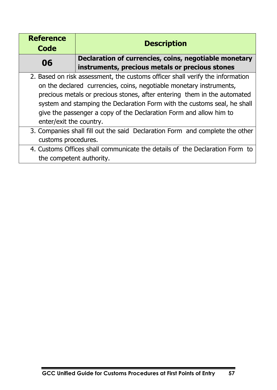| <b>Reference</b><br>Code                                                     | <b>Description</b>                                                            |  |
|------------------------------------------------------------------------------|-------------------------------------------------------------------------------|--|
| 06                                                                           | Declaration of currencies, coins, negotiable monetary                         |  |
|                                                                              | instruments, precious metals or precious stones                               |  |
|                                                                              | 2. Based on risk assessment, the customs officer shall verify the information |  |
|                                                                              | on the declared currencies, coins, negotiable monetary instruments,           |  |
|                                                                              | precious metals or precious stones, after entering them in the automated      |  |
| system and stamping the Declaration Form with the customs seal, he shall     |                                                                               |  |
| give the passenger a copy of the Declaration Form and allow him to           |                                                                               |  |
| enter/exit the country.                                                      |                                                                               |  |
| 3. Companies shall fill out the said Declaration Form and complete the other |                                                                               |  |
| customs procedures.                                                          |                                                                               |  |
|                                                                              | 4. Customs Offices shall communicate the details of the Declaration Form to   |  |
| the competent authority.                                                     |                                                                               |  |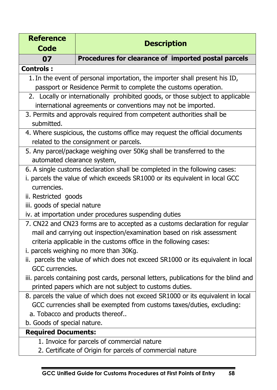| <b>Reference</b>                                                                     | <b>Description</b>                                                              |  |
|--------------------------------------------------------------------------------------|---------------------------------------------------------------------------------|--|
| <b>Code</b>                                                                          |                                                                                 |  |
| 07                                                                                   | Procedures for clearance of imported postal parcels                             |  |
| <b>Controls:</b>                                                                     |                                                                                 |  |
|                                                                                      | 1. In the event of personal importation, the importer shall present his ID,     |  |
| passport or Residence Permit to complete the customs operation.                      |                                                                                 |  |
| 2. Locally or internationally prohibited goods, or those subject to applicable       |                                                                                 |  |
| international agreements or conventions may not be imported.                         |                                                                                 |  |
|                                                                                      | 3. Permits and approvals required from competent authorities shall be           |  |
| submitted.                                                                           |                                                                                 |  |
|                                                                                      | 4. Where suspicious, the customs office may request the official documents      |  |
|                                                                                      | related to the consignment or parcels.                                          |  |
|                                                                                      | 5. Any parcel/package weighing over 50Kg shall be transferred to the            |  |
| automated clearance system,                                                          |                                                                                 |  |
| 6. A single customs declaration shall be completed in the following cases:           |                                                                                 |  |
| i. parcels the value of which exceeds SR1000 or its equivalent in local GCC          |                                                                                 |  |
| currencies.                                                                          |                                                                                 |  |
| ii. Restricted goods                                                                 |                                                                                 |  |
| iii. goods of special nature                                                         |                                                                                 |  |
| iv. at importation under procedures suspending duties                                |                                                                                 |  |
|                                                                                      | 7. CN22 and CN23 forms are to accepted as a customs declaration for regular     |  |
| mail and carrying out inspection/examination based on risk assessment                |                                                                                 |  |
| criteria applicable in the customs office in the following cases:                    |                                                                                 |  |
|                                                                                      | i. parcels weighing no more than 30Kg.                                          |  |
| ii. parcels the value of which does not exceed SR1000 or its equivalent in local     |                                                                                 |  |
| GCC currencies.                                                                      |                                                                                 |  |
| iii. parcels containing post cards, personal letters, publications for the blind and |                                                                                 |  |
| printed papers which are not subject to customs duties.                              |                                                                                 |  |
|                                                                                      | 8. parcels the value of which does not exceed SR1000 or its equivalent in local |  |
|                                                                                      | GCC currencies shall be exempted from customs taxes/duties, excluding:          |  |
|                                                                                      | a. Tobacco and products thereof                                                 |  |
| b. Goods of special nature.                                                          |                                                                                 |  |
| <b>Required Documents:</b>                                                           |                                                                                 |  |
|                                                                                      | 1. Invoice for parcels of commercial nature                                     |  |
|                                                                                      | 2. Certificate of Origin for parcels of commercial nature                       |  |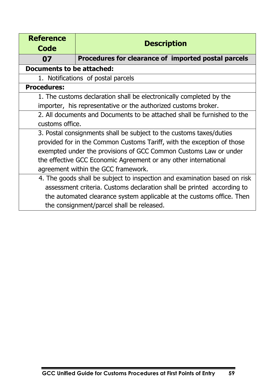| <b>Reference</b><br>Code                                                | <b>Description</b>                                                        |  |
|-------------------------------------------------------------------------|---------------------------------------------------------------------------|--|
| 07                                                                      | Procedures for clearance of imported postal parcels                       |  |
| <b>Documents to be attached:</b>                                        |                                                                           |  |
|                                                                         | 1. Notifications of postal parcels                                        |  |
| <b>Procedures:</b>                                                      |                                                                           |  |
| 1. The customs declaration shall be electronically completed by the     |                                                                           |  |
|                                                                         | importer, his representative or the authorized customs broker.            |  |
| 2. All documents and Documents to be attached shall be furnished to the |                                                                           |  |
| customs office.                                                         |                                                                           |  |
| 3. Postal consignments shall be subject to the customs taxes/duties     |                                                                           |  |
|                                                                         | provided for in the Common Customs Tariff, with the exception of those    |  |
| exempted under the provisions of GCC Common Customs Law or under        |                                                                           |  |
| the effective GCC Economic Agreement or any other international         |                                                                           |  |
| agreement within the GCC framework.                                     |                                                                           |  |
|                                                                         | 4. The goods shall be subject to inspection and examination based on risk |  |
|                                                                         | assessment criteria. Customs declaration shall be printed according to    |  |
|                                                                         | the automated clearance system applicable at the customs office. Then     |  |
| the consignment/parcel shall be released.                               |                                                                           |  |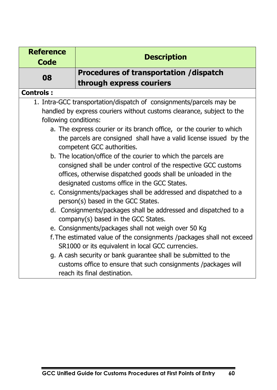| <b>Reference</b><br><b>Code</b> | <b>Description</b>                                                    |
|---------------------------------|-----------------------------------------------------------------------|
| 08                              | Procedures of transportation /dispatch<br>through express couriers    |
| <b>Controls:</b>                |                                                                       |
|                                 | 1. Intra-GCC transportation/dispatch of consignments/parcels may be   |
|                                 | handled by express couriers without customs clearance, subject to the |
| following conditions:           |                                                                       |
|                                 | a. The express courier or its branch office, or the courier to which  |
|                                 | the parcels are consigned shall have a valid license issued by the    |
|                                 | competent GCC authorities.                                            |
|                                 | b. The location/office of the courier to which the parcels are        |
|                                 | consigned shall be under control of the respective GCC customs        |
|                                 | offices, otherwise dispatched goods shall be unloaded in the          |
|                                 | designated customs office in the GCC States.                          |
|                                 | c. Consignments/packages shall be addressed and dispatched to a       |
|                                 | person(s) based in the GCC States.                                    |
|                                 | d. Consignments/packages shall be addressed and dispatched to a       |
|                                 | company(s) based in the GCC States.                                   |
|                                 | e. Consignments/packages shall not weigh over 50 Kg                   |
|                                 | f. The estimated value of the consignments /packages shall not exceed |
|                                 | SR1000 or its equivalent in local GCC currencies.                     |
|                                 | g. A cash security or bank guarantee shall be submitted to the        |
|                                 | customs office to ensure that such consignments /packages will        |
|                                 | reach its final destination.                                          |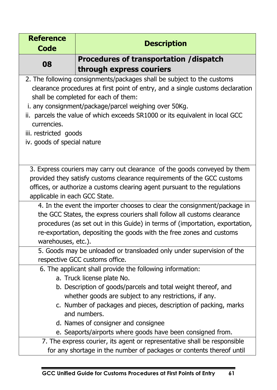| <b>Reference</b>              | <b>Description</b>                                                                                                                               |  |  |
|-------------------------------|--------------------------------------------------------------------------------------------------------------------------------------------------|--|--|
| <b>Code</b>                   |                                                                                                                                                  |  |  |
| 08                            | Procedures of transportation / dispatch                                                                                                          |  |  |
|                               | through express couriers                                                                                                                         |  |  |
|                               | 2. The following consignments/packages shall be subject to the customs                                                                           |  |  |
|                               | clearance procedures at first point of entry, and a single customs declaration                                                                   |  |  |
|                               | shall be completed for each of them:                                                                                                             |  |  |
|                               | i. any consignment/package/parcel weighing over 50Kg.                                                                                            |  |  |
| currencies.                   | ii. parcels the value of which exceeds SR1000 or its equivalent in local GCC                                                                     |  |  |
| iii. restricted goods         |                                                                                                                                                  |  |  |
| iv. goods of special nature   |                                                                                                                                                  |  |  |
|                               |                                                                                                                                                  |  |  |
|                               |                                                                                                                                                  |  |  |
|                               | 3. Express couriers may carry out clearance of the goods conveyed by them                                                                        |  |  |
|                               | provided they satisfy customs clearance requirements of the GCC customs                                                                          |  |  |
|                               | offices, or authorize a customs clearing agent pursuant to the regulations                                                                       |  |  |
| applicable in each GCC State. |                                                                                                                                                  |  |  |
|                               | 4. In the event the importer chooses to clear the consignment/package in                                                                         |  |  |
|                               | the GCC States, the express couriers shall follow all customs clearance                                                                          |  |  |
|                               | procedures (as set out in this Guide) in terms of (importation, exportation,                                                                     |  |  |
|                               | re-exportation, depositing the goods with the free zones and customs<br>warehouses, etc.).                                                       |  |  |
|                               | 5. Goods may be unloaded or transloaded only under supervision of the                                                                            |  |  |
|                               | respective GCC customs office.                                                                                                                   |  |  |
|                               | 6. The applicant shall provide the following information:                                                                                        |  |  |
|                               | a. Truck license plate No.                                                                                                                       |  |  |
|                               | b. Description of goods/parcels and total weight thereof, and                                                                                    |  |  |
|                               | whether goods are subject to any restrictions, if any.                                                                                           |  |  |
|                               | c. Number of packages and pieces, description of packing, marks                                                                                  |  |  |
|                               | and numbers.                                                                                                                                     |  |  |
|                               | d. Names of consigner and consignee                                                                                                              |  |  |
|                               | e. Seaports/airports where goods have been consigned from.                                                                                       |  |  |
|                               | 7. The express courier, its agent or representative shall be responsible<br>for any shortage in the number of packages or contents thereof until |  |  |
|                               |                                                                                                                                                  |  |  |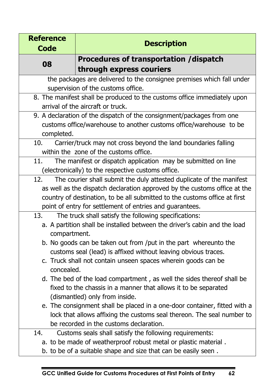| <b>Reference</b> | <b>Description</b>                                                         |
|------------------|----------------------------------------------------------------------------|
| <b>Code</b>      |                                                                            |
| 08               | Procedures of transportation /dispatch                                     |
|                  | through express couriers                                                   |
|                  | the packages are delivered to the consignee premises which fall under      |
|                  | supervision of the customs office.                                         |
|                  | 8. The manifest shall be produced to the customs office immediately upon   |
|                  | arrival of the aircraft or truck.                                          |
|                  | 9. A declaration of the dispatch of the consignment/packages from one      |
|                  | customs office/warehouse to another customs office/warehouse to be         |
| completed.       |                                                                            |
| 10.              | Carrier/truck may not cross beyond the land boundaries falling             |
|                  | within the zone of the customs office.                                     |
| 11.              | The manifest or dispatch application may be submitted on line              |
|                  | (electronically) to the respective customs office.                         |
| 12.              | The courier shall submit the duly attested duplicate of the manifest       |
|                  | as well as the dispatch declaration approved by the customs office at the  |
|                  | country of destination, to be all submitted to the customs office at first |
|                  | point of entry for settlement of entries and guarantees.                   |
| 13.              | The truck shall satisfy the following specifications:                      |
|                  | a. A partition shall be installed between the driver's cabin and the load  |
| compartment.     |                                                                            |
|                  | b. No goods can be taken out from /put in the part whereunto the           |
|                  | customs seal (lead) is affixed without leaving obvious traces.             |
| concealed.       | c. Truck shall not contain unseen spaces wherein goods can be              |
|                  | d. The bed of the load compartment, as well the sides thereof shall be     |
|                  | fixed to the chassis in a manner that allows it to be separated            |
|                  | (dismantled) only from inside.                                             |
|                  | e. The consignment shall be placed in a one-door container, fitted with a  |
|                  | lock that allows affixing the customs seal thereon. The seal number to     |
|                  | be recorded in the customs declaration.                                    |
| 14.              | Customs seals shall satisfy the following requirements:                    |
|                  | a. to be made of weatherproof robust metal or plastic material.            |
|                  | b. to be of a suitable shape and size that can be easily seen.             |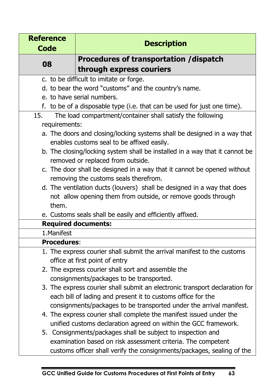| <b>Reference</b>   |                                                                                                                        |
|--------------------|------------------------------------------------------------------------------------------------------------------------|
| <b>Code</b>        | <b>Description</b>                                                                                                     |
|                    | Procedures of transportation / dispatch                                                                                |
| 08                 | through express couriers                                                                                               |
|                    | c. to be difficult to imitate or forge.                                                                                |
|                    | d. to bear the word "customs" and the country's name.                                                                  |
|                    | e. to have serial numbers.                                                                                             |
|                    | f. to be of a disposable type (i.e. that can be used for just one time).                                               |
| 15.                | The load compartment/container shall satisfy the following                                                             |
| requirements:      |                                                                                                                        |
|                    | a. The doors and closing/locking systems shall be designed in a way that<br>enables customs seal to be affixed easily. |
|                    | b. The closing/locking system shall be installed in a way that it cannot be<br>removed or replaced from outside.       |
|                    | c. The door shall be designed in a way that it cannot be opened without                                                |
|                    | removing the customs seals therefrom.                                                                                  |
|                    | d. The ventilation ducts (louvers) shall be designed in a way that does                                                |
|                    | not allow opening them from outside, or remove goods through                                                           |
| them.              |                                                                                                                        |
|                    | e. Customs seals shall be easily and efficiently affixed.                                                              |
|                    | <b>Required documents:</b>                                                                                             |
| 1. Manifest        |                                                                                                                        |
| <b>Procedures:</b> |                                                                                                                        |
|                    | 1. The express courier shall submit the arrival manifest to the customs                                                |
|                    | office at first point of entry                                                                                         |
|                    | 2. The express courier shall sort and assemble the                                                                     |
|                    | consignments/packages to be transported.                                                                               |
|                    | 3. The express courier shall submit an electronic transport declaration for                                            |
|                    | each bill of lading and present it to customs office for the                                                           |
|                    | consignments/packages to be transported under the arrival manifest.                                                    |
|                    | 4. The express courier shall complete the manifest issued under the                                                    |
|                    | unified customs declaration agreed on within the GCC framework.                                                        |
|                    | 5. Consignments/packages shall be subject to inspection and                                                            |
|                    | examination based on risk assessment criteria. The competent                                                           |
|                    | customs officer shall verify the consignments/packages, sealing of the                                                 |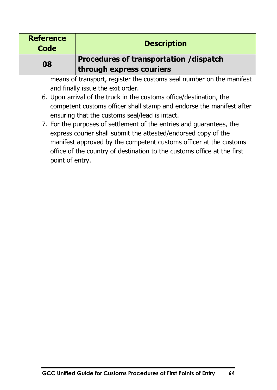| <b>Reference</b><br>Code                                            | <b>Description</b>                                                      |  |
|---------------------------------------------------------------------|-------------------------------------------------------------------------|--|
| 08                                                                  | <b>Procedures of transportation / dispatch</b>                          |  |
|                                                                     | through express couriers                                                |  |
|                                                                     | means of transport, register the customs seal number on the manifest    |  |
|                                                                     | and finally issue the exit order.                                       |  |
| 6. Upon arrival of the truck in the customs office/destination, the |                                                                         |  |
|                                                                     | competent customs officer shall stamp and endorse the manifest after    |  |
|                                                                     | ensuring that the customs seal/lead is intact.                          |  |
|                                                                     | 7. For the purposes of settlement of the entries and guarantees, the    |  |
|                                                                     | express courier shall submit the attested/endorsed copy of the          |  |
| manifest approved by the competent customs officer at the customs   |                                                                         |  |
|                                                                     | office of the country of destination to the customs office at the first |  |
| point of entry.                                                     |                                                                         |  |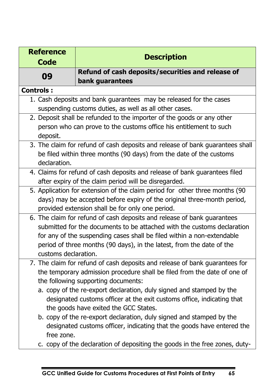| <b>Reference</b><br><b>Code</b> | <b>Description</b>                                                                                                                                                                                                                                                                                                                                                                                                                                                                                                                                                                                                         |
|---------------------------------|----------------------------------------------------------------------------------------------------------------------------------------------------------------------------------------------------------------------------------------------------------------------------------------------------------------------------------------------------------------------------------------------------------------------------------------------------------------------------------------------------------------------------------------------------------------------------------------------------------------------------|
| 09                              | Refund of cash deposits/securities and release of<br>bank guarantees                                                                                                                                                                                                                                                                                                                                                                                                                                                                                                                                                       |
| <b>Controls:</b>                |                                                                                                                                                                                                                                                                                                                                                                                                                                                                                                                                                                                                                            |
|                                 | 1. Cash deposits and bank guarantees may be released for the cases<br>suspending customs duties, as well as all other cases.                                                                                                                                                                                                                                                                                                                                                                                                                                                                                               |
| deposit.                        | 2. Deposit shall be refunded to the importer of the goods or any other<br>person who can prove to the customs office his entitlement to such                                                                                                                                                                                                                                                                                                                                                                                                                                                                               |
| declaration.                    | 3. The claim for refund of cash deposits and release of bank guarantees shall<br>be filed within three months (90 days) from the date of the customs                                                                                                                                                                                                                                                                                                                                                                                                                                                                       |
|                                 | 4. Claims for refund of cash deposits and release of bank guarantees filed<br>after expiry of the claim period will be disregarded.                                                                                                                                                                                                                                                                                                                                                                                                                                                                                        |
|                                 | 5. Application for extension of the claim period for other three months (90<br>days) may be accepted before expiry of the original three-month period,<br>provided extension shall be for only one period.                                                                                                                                                                                                                                                                                                                                                                                                                 |
| customs declaration.            | 6. The claim for refund of cash deposits and release of bank guarantees<br>submitted for the documents to be attached with the customs declaration<br>for any of the suspending cases shall be filed within a non-extendable<br>period of three months (90 days), in the latest, from the date of the                                                                                                                                                                                                                                                                                                                      |
| free zone.                      | 7. The claim for refund of cash deposits and release of bank guarantees for<br>the temporary admission procedure shall be filed from the date of one of<br>the following supporting documents:<br>a. copy of the re-export declaration, duly signed and stamped by the<br>designated customs officer at the exit customs office, indicating that<br>the goods have exited the GCC States.<br>b. copy of the re-export declaration, duly signed and stamped by the<br>designated customs officer, indicating that the goods have entered the<br>c. copy of the declaration of depositing the goods in the free zones, duty- |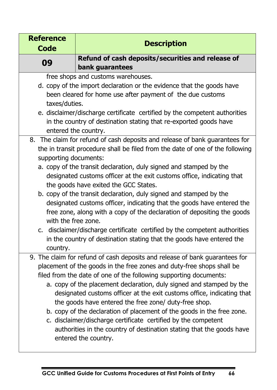| <b>Reference</b>      | <b>Description</b>                                                                                                              |
|-----------------------|---------------------------------------------------------------------------------------------------------------------------------|
| Code                  |                                                                                                                                 |
| 09                    | Refund of cash deposits/securities and release of                                                                               |
|                       | bank guarantees                                                                                                                 |
|                       | free shops and customs warehouses.                                                                                              |
|                       | d. copy of the import declaration or the evidence that the goods have                                                           |
|                       | been cleared for home use after payment of the due customs                                                                      |
| taxes/duties.         |                                                                                                                                 |
|                       | e. disclaimer/discharge certificate certified by the competent authorities                                                      |
|                       | in the country of destination stating that re-exported goods have                                                               |
|                       | entered the country.<br>8. The claim for refund of cash deposits and release of bank guarantees for                             |
|                       | the in transit procedure shall be filed from the date of one of the following                                                   |
| supporting documents: |                                                                                                                                 |
|                       | a. copy of the transit declaration, duly signed and stamped by the                                                              |
|                       | designated customs officer at the exit customs office, indicating that                                                          |
|                       | the goods have exited the GCC States.                                                                                           |
|                       | b. copy of the transit declaration, duly signed and stamped by the                                                              |
|                       | designated customs officer, indicating that the goods have entered the                                                          |
|                       | free zone, along with a copy of the declaration of depositing the goods                                                         |
| with the free zone.   |                                                                                                                                 |
|                       | c. disclaimer/discharge certificate certified by the competent authorities                                                      |
|                       | in the country of destination stating that the goods have entered the                                                           |
| country.              |                                                                                                                                 |
|                       | 9. The claim for refund of cash deposits and release of bank guarantees for                                                     |
|                       | placement of the goods in the free zones and duty-free shops shall be                                                           |
|                       | filed from the date of one of the following supporting documents:                                                               |
|                       | a. copy of the placement declaration, duly signed and stamped by the                                                            |
|                       | designated customs officer at the exit customs office, indicating that<br>the goods have entered the free zone/ duty-free shop. |
|                       | b. copy of the declaration of placement of the goods in the free zone.                                                          |
|                       | c. disclaimer/discharge certificate certified by the competent                                                                  |
|                       | authorities in the country of destination stating that the goods have                                                           |
|                       | entered the country.                                                                                                            |
|                       |                                                                                                                                 |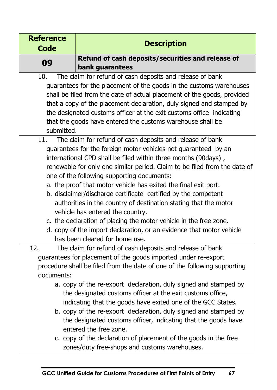| <b>Reference</b> | <b>Description</b>                                                                       |
|------------------|------------------------------------------------------------------------------------------|
| <b>Code</b>      |                                                                                          |
| 09               | Refund of cash deposits/securities and release of                                        |
|                  | bank guarantees                                                                          |
| 10.              | The claim for refund of cash deposits and release of bank                                |
|                  | guarantees for the placement of the goods in the customs warehouses                      |
|                  | shall be filed from the date of actual placement of the goods, provided                  |
|                  | that a copy of the placement declaration, duly signed and stamped by                     |
|                  | the designated customs officer at the exit customs office indicating                     |
| submitted.       | that the goods have entered the customs warehouse shall be                               |
| 11.              | The claim for refund of cash deposits and release of bank                                |
|                  | guarantees for the foreign motor vehicles not guaranteed by an                           |
|                  | international CPD shall be filed within three months (90days),                           |
|                  | renewable for only one similar period. Claim to be filed from the date of                |
|                  | one of the following supporting documents:                                               |
|                  | a. the proof that motor vehicle has exited the final exit port.                          |
|                  | b. disclaimer/discharge certificate certified by the competent                           |
|                  | authorities in the country of destination stating that the motor                         |
|                  | vehicle has entered the country.                                                         |
|                  | c. the declaration of placing the motor vehicle in the free zone.                        |
|                  | d. copy of the import declaration, or an evidence that motor vehicle                     |
|                  | has been cleared for home use.                                                           |
| 12.              | The claim for refund of cash deposits and release of bank                                |
|                  | guarantees for placement of the goods imported under re-export                           |
|                  | procedure shall be filed from the date of one of the following supporting                |
| documents:       |                                                                                          |
|                  | a. copy of the re-export declaration, duly signed and stamped by                         |
|                  | the designated customs officer at the exit customs office,                               |
|                  | indicating that the goods have exited one of the GCC States.                             |
|                  | b. copy of the re-export declaration, duly signed and stamped by                         |
|                  | the designated customs officer, indicating that the goods have<br>entered the free zone. |
|                  | c. copy of the declaration of placement of the goods in the free                         |
|                  | zones/duty free-shops and customs warehouses.                                            |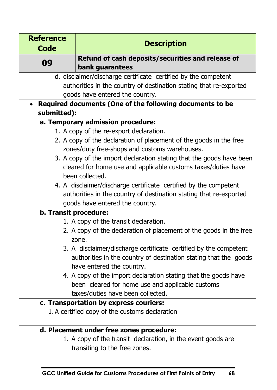| <b>Reference</b>      |                                                                                                                                                                   |  |  |
|-----------------------|-------------------------------------------------------------------------------------------------------------------------------------------------------------------|--|--|
| <b>Code</b>           | <b>Description</b>                                                                                                                                                |  |  |
| 09                    | Refund of cash deposits/securities and release of                                                                                                                 |  |  |
|                       | bank guarantees                                                                                                                                                   |  |  |
|                       | d. disclaimer/discharge certificate certified by the competent                                                                                                    |  |  |
|                       | authorities in the country of destination stating that re-exported                                                                                                |  |  |
|                       | goods have entered the country.                                                                                                                                   |  |  |
|                       | • Required documents (One of the following documents to be                                                                                                        |  |  |
| submitted):           |                                                                                                                                                                   |  |  |
|                       | a. Temporary admission procedure:                                                                                                                                 |  |  |
|                       | 1. A copy of the re-export declaration.                                                                                                                           |  |  |
|                       | 2. A copy of the declaration of placement of the goods in the free                                                                                                |  |  |
|                       | zones/duty free-shops and customs warehouses.                                                                                                                     |  |  |
|                       | 3. A copy of the import declaration stating that the goods have been                                                                                              |  |  |
|                       | cleared for home use and applicable customs taxes/duties have                                                                                                     |  |  |
|                       | been collected.                                                                                                                                                   |  |  |
|                       | 4. A disclaimer/discharge certificate certified by the competent                                                                                                  |  |  |
|                       | authorities in the country of destination stating that re-exported                                                                                                |  |  |
|                       | goods have entered the country.                                                                                                                                   |  |  |
| b. Transit procedure: |                                                                                                                                                                   |  |  |
|                       | 1. A copy of the transit declaration.                                                                                                                             |  |  |
|                       | 2. A copy of the declaration of placement of the goods in the free<br>zone.                                                                                       |  |  |
|                       | 3. A disclaimer/discharge certificate certified by the competent<br>authorities in the country of destination stating that the goods<br>have entered the country. |  |  |
|                       | 4. A copy of the import declaration stating that the goods have<br>been cleared for home use and applicable customs<br>taxes/duties have been collected.          |  |  |
|                       | c. Transportation by express couriers:                                                                                                                            |  |  |
|                       | 1. A certified copy of the customs declaration                                                                                                                    |  |  |
|                       | d. Placement under free zones procedure:                                                                                                                          |  |  |
|                       | 1. A copy of the transit declaration, in the event goods are                                                                                                      |  |  |
|                       | aiting ta tha fuan na                                                                                                                                             |  |  |

transiting to the free zones.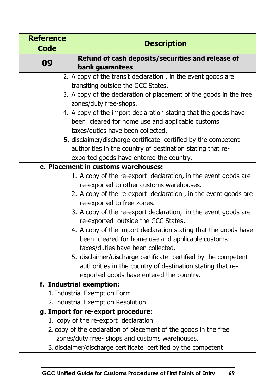| <b>Reference</b><br><b>Code</b>    | <b>Description</b>                                                                                                           |
|------------------------------------|------------------------------------------------------------------------------------------------------------------------------|
|                                    | Refund of cash deposits/securities and release of                                                                            |
| 09                                 | bank guarantees                                                                                                              |
|                                    | 2. A copy of the transit declaration, in the event goods are                                                                 |
|                                    | transiting outside the GCC States.                                                                                           |
|                                    | 3. A copy of the declaration of placement of the goods in the free                                                           |
|                                    | zones/duty free-shops.                                                                                                       |
|                                    | 4. A copy of the import declaration stating that the goods have                                                              |
|                                    | been cleared for home use and applicable customs                                                                             |
|                                    | taxes/duties have been collected.                                                                                            |
|                                    | <b>5.</b> disclaimer/discharge certificate certified by the competent                                                        |
|                                    | authorities in the country of destination stating that re-                                                                   |
|                                    | exported goods have entered the country.                                                                                     |
|                                    | e. Placement in customs warehouses:                                                                                          |
|                                    | 1. A copy of the re-export declaration, in the event goods are                                                               |
|                                    | re-exported to other customs warehouses.                                                                                     |
|                                    | 2. A copy of the re-export declaration, in the event goods are                                                               |
|                                    | re-exported to free zones.                                                                                                   |
|                                    | 3. A copy of the re-export declaration, in the event goods are                                                               |
|                                    | re-exported outside the GCC States.                                                                                          |
|                                    | 4. A copy of the import declaration stating that the goods have                                                              |
|                                    | been cleared for home use and applicable customs                                                                             |
|                                    | taxes/duties have been collected.                                                                                            |
|                                    | 5. disclaimer/discharge certificate certified by the competent<br>authorities in the country of destination stating that re- |
|                                    | exported goods have entered the country.                                                                                     |
|                                    | f. Industrial exemption:                                                                                                     |
|                                    | 1. Industrial Exemption Form                                                                                                 |
| 2. Industrial Exemption Resolution |                                                                                                                              |
|                                    | g. Import for re-export procedure:                                                                                           |
|                                    | 1. copy of the re-export declaration                                                                                         |
|                                    | 2. copy of the declaration of placement of the goods in the free                                                             |
|                                    | zones/duty free- shops and customs warehouses.                                                                               |
|                                    | 3. disclaimer/discharge certificate certified by the competent                                                               |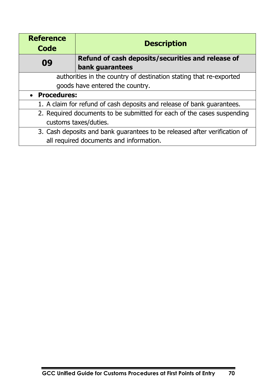| <b>Reference</b><br>Code | <b>Description</b>                                                        |
|--------------------------|---------------------------------------------------------------------------|
| 09                       | Refund of cash deposits/securities and release of                         |
|                          | bank guarantees                                                           |
|                          | authorities in the country of destination stating that re-exported        |
|                          | goods have entered the country.                                           |
| • Procedures:            |                                                                           |
|                          | 1. A claim for refund of cash deposits and release of bank guarantees.    |
|                          | 2. Required documents to be submitted for each of the cases suspending    |
| customs taxes/duties.    |                                                                           |
|                          | 3. Cash deposits and bank guarantees to be released after verification of |
|                          | all required documents and information.                                   |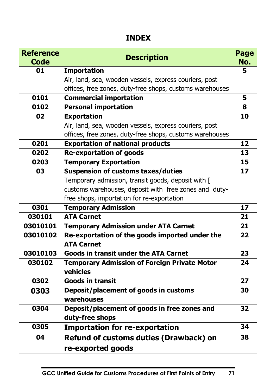## **INDEX**

| <b>Reference</b><br><b>Code</b> | <b>Description</b>                                                  | Page<br>No. |
|---------------------------------|---------------------------------------------------------------------|-------------|
| 01                              | <b>Importation</b>                                                  | 5           |
|                                 | Air, land, sea, wooden vessels, express couriers, post              |             |
|                                 | offices, free zones, duty-free shops, customs warehouses            |             |
| 0101                            | <b>Commercial importation</b>                                       | 5           |
| 0102                            | <b>Personal importation</b>                                         | 8           |
| 02                              | <b>Exportation</b>                                                  | 10          |
|                                 | Air, land, sea, wooden vessels, express couriers, post              |             |
|                                 | offices, free zones, duty-free shops, customs warehouses            |             |
| 0201                            | <b>Exportation of national products</b>                             | 12          |
| 0202                            | <b>Re-exportation of goods</b>                                      | 13          |
| 0203                            | <b>Temporary Exportation</b>                                        | 15          |
| 03                              | <b>Suspension of customs taxes/duties</b>                           | 17          |
|                                 | Temporary admission, transit goods, deposit with [                  |             |
|                                 | customs warehouses, deposit with free zones and duty-               |             |
|                                 | free shops, importation for re-exportation                          |             |
| 0301                            | <b>Temporary Admission</b>                                          | 17          |
| 030101                          | <b>ATA Carnet</b>                                                   | 21          |
| 03010101                        | <b>Temporary Admission under ATA Carnet</b>                         | 21          |
| 03010102                        | Re-exportation of the goods imported under the<br><b>ATA Carnet</b> | 22          |
| 03010103                        | <b>Goods in transit under the ATA Carnet</b>                        | 23          |
| 030102                          | <b>Temporary Admission of Foreign Private Motor</b><br>vehicles     | 24          |
| 0302                            | <b>Goods in transit</b>                                             | 27          |
| 0303                            | Deposit/placement of goods in customs<br>warehouses                 | 30          |
| 0304                            | Deposit/placement of goods in free zones and<br>duty-free shops     | 32          |
| 0305                            | <b>Importation for re-exportation</b>                               | 34          |
| 04                              | Refund of customs duties (Drawback) on                              | 38          |
|                                 | re-exported goods                                                   |             |